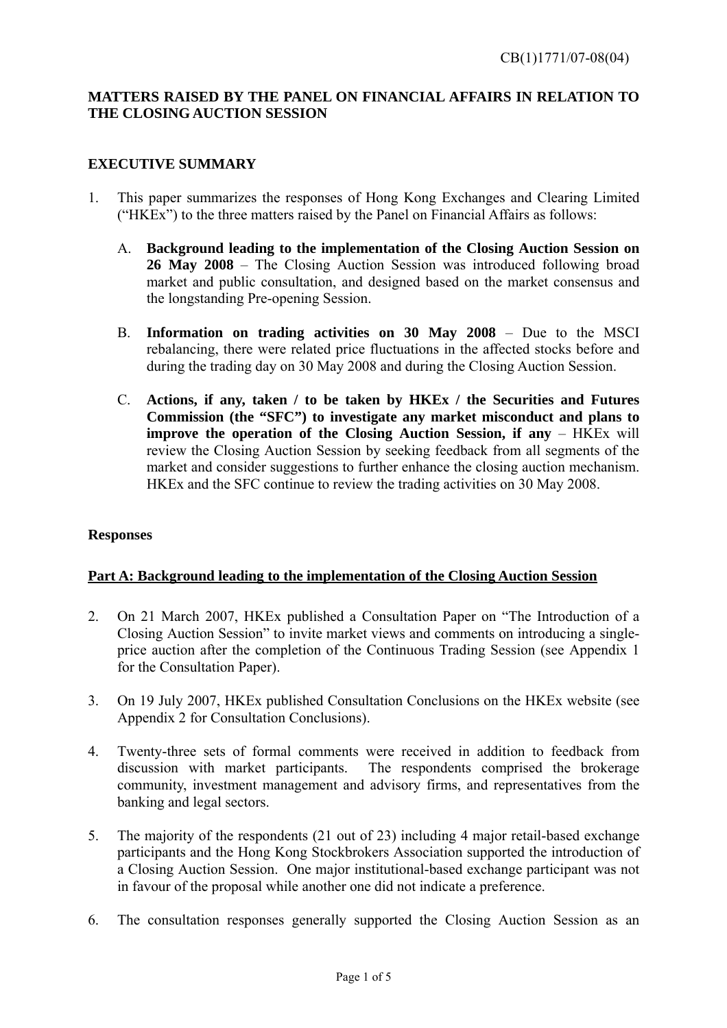#### **MATTERS RAISED BY THE PANEL ON FINANCIAL AFFAIRS IN RELATION TO THE CLOSING AUCTION SESSION**

#### **EXECUTIVE SUMMARY**

- 1. This paper summarizes the responses of Hong Kong Exchanges and Clearing Limited ("HKEx") to the three matters raised by the Panel on Financial Affairs as follows:
	- A. **Background leading to the implementation of the Closing Auction Session on 26 May 2008** – The Closing Auction Session was introduced following broad market and public consultation, and designed based on the market consensus and the longstanding Pre-opening Session.
	- B. **Information on trading activities on 30 May 2008**  Due to the MSCI rebalancing, there were related price fluctuations in the affected stocks before and during the trading day on 30 May 2008 and during the Closing Auction Session.
	- C. **Actions, if any, taken / to be taken by HKEx / the Securities and Futures Commission (the "SFC") to investigate any market misconduct and plans to improve the operation of the Closing Auction Session, if any – HKEX will** review the Closing Auction Session by seeking feedback from all segments of the market and consider suggestions to further enhance the closing auction mechanism. HKEx and the SFC continue to review the trading activities on 30 May 2008.

#### **Responses**

#### **Part A: Background leading to the implementation of the Closing Auction Session**

- 2. On 21 March 2007, HKEx published a Consultation Paper on "The Introduction of a Closing Auction Session" to invite market views and comments on introducing a singleprice auction after the completion of the Continuous Trading Session (see Appendix 1 for the Consultation Paper).
- 3. On 19 July 2007, HKEx published Consultation Conclusions on the HKEx website (see Appendix 2 for Consultation Conclusions).
- 4. Twenty-three sets of formal comments were received in addition to feedback from discussion with market participants. The respondents comprised the brokerage community, investment management and advisory firms, and representatives from the banking and legal sectors.
- 5. The majority of the respondents (21 out of 23) including 4 major retail-based exchange participants and the Hong Kong Stockbrokers Association supported the introduction of a Closing Auction Session. One major institutional-based exchange participant was not in favour of the proposal while another one did not indicate a preference.
- 6. The consultation responses generally supported the Closing Auction Session as an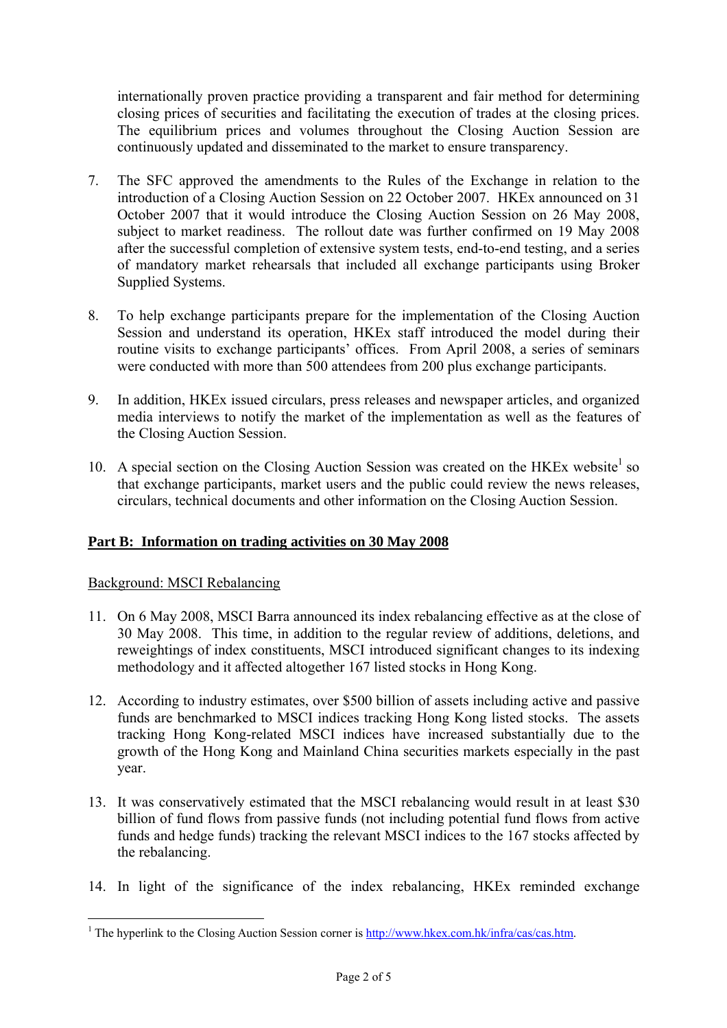internationally proven practice providing a transparent and fair method for determining closing prices of securities and facilitating the execution of trades at the closing prices. The equilibrium prices and volumes throughout the Closing Auction Session are continuously updated and disseminated to the market to ensure transparency.

- 7. The SFC approved the amendments to the Rules of the Exchange in relation to the introduction of a Closing Auction Session on 22 October 2007. HKEx announced on 31 October 2007 that it would introduce the Closing Auction Session on 26 May 2008, subject to market readiness. The rollout date was further confirmed on 19 May 2008 after the successful completion of extensive system tests, end-to-end testing, and a series of mandatory market rehearsals that included all exchange participants using Broker Supplied Systems.
- 8. To help exchange participants prepare for the implementation of the Closing Auction Session and understand its operation, HKEx staff introduced the model during their routine visits to exchange participants' offices. From April 2008, a series of seminars were conducted with more than 500 attendees from 200 plus exchange participants.
- 9. In addition, HKEx issued circulars, press releases and newspaper articles, and organized media interviews to notify the market of the implementation as well as the features of the Closing Auction Session.
- 10. A special section on the Closing Auction Session was created on the HKEx website<sup>1</sup> so that exchange participants, market users and the public could review the news releases, circulars, technical documents and other information on the Closing Auction Session.

#### **Part B: Information on trading activities on 30 May 2008**

#### Background: MSCI Rebalancing

- 11. On 6 May 2008, MSCI Barra announced its index rebalancing effective as at the close of 30 May 2008. This time, in addition to the regular review of additions, deletions, and reweightings of index constituents, MSCI introduced significant changes to its indexing methodology and it affected altogether 167 listed stocks in Hong Kong.
- 12. According to industry estimates, over \$500 billion of assets including active and passive funds are benchmarked to MSCI indices tracking Hong Kong listed stocks. The assets tracking Hong Kong-related MSCI indices have increased substantially due to the growth of the Hong Kong and Mainland China securities markets especially in the past year.
- 13. It was conservatively estimated that the MSCI rebalancing would result in at least \$30 billion of fund flows from passive funds (not including potential fund flows from active funds and hedge funds) tracking the relevant MSCI indices to the 167 stocks affected by the rebalancing.
- 14. In light of the significance of the index rebalancing, HKEx reminded exchange

<sup>&</sup>lt;sup>1</sup> The hyperlink to the Closing Auction Session corner is http://www.hkex.com.hk/infra/cas/cas.htm.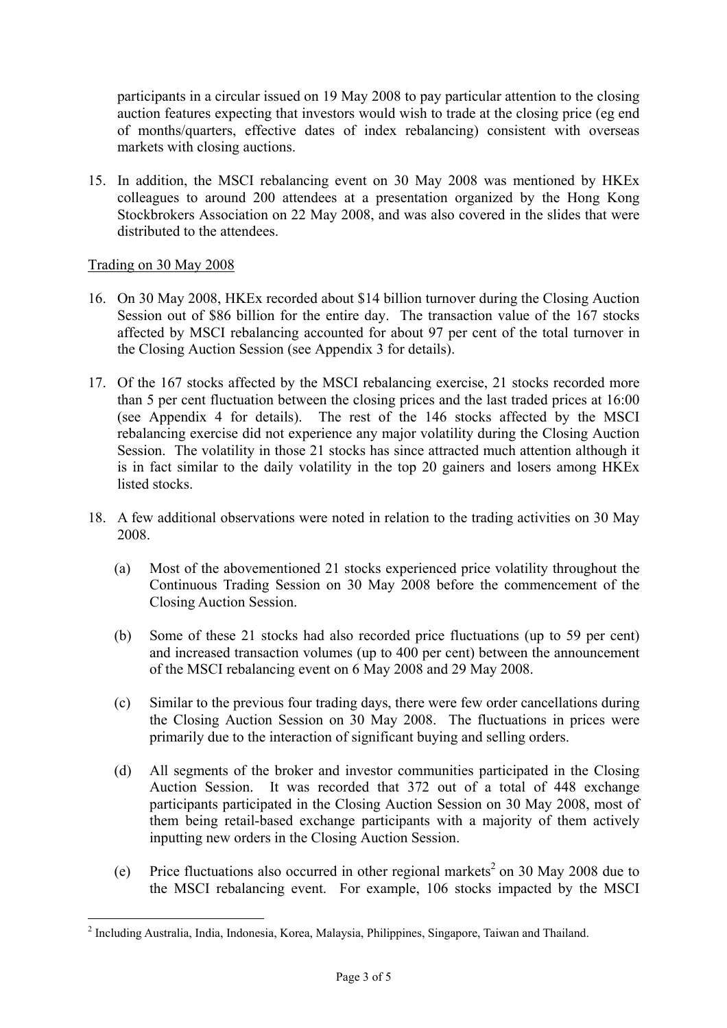participants in a circular issued on 19 May 2008 to pay particular attention to the closing auction features expecting that investors would wish to trade at the closing price (eg end of months/quarters, effective dates of index rebalancing) consistent with overseas markets with closing auctions.

15. In addition, the MSCI rebalancing event on 30 May 2008 was mentioned by HKEx colleagues to around 200 attendees at a presentation organized by the Hong Kong Stockbrokers Association on 22 May 2008, and was also covered in the slides that were distributed to the attendees.

#### Trading on 30 May 2008

- 16. On 30 May 2008, HKEx recorded about \$14 billion turnover during the Closing Auction Session out of \$86 billion for the entire day. The transaction value of the 167 stocks affected by MSCI rebalancing accounted for about 97 per cent of the total turnover in the Closing Auction Session (see Appendix 3 for details).
- 17. Of the 167 stocks affected by the MSCI rebalancing exercise, 21 stocks recorded more than 5 per cent fluctuation between the closing prices and the last traded prices at 16:00 (see Appendix 4 for details). The rest of the 146 stocks affected by the MSCI rebalancing exercise did not experience any major volatility during the Closing Auction Session. The volatility in those 21 stocks has since attracted much attention although it is in fact similar to the daily volatility in the top 20 gainers and losers among HKEx listed stocks.
- 18. A few additional observations were noted in relation to the trading activities on 30 May 2008.
	- (a) Most of the abovementioned 21 stocks experienced price volatility throughout the Continuous Trading Session on 30 May 2008 before the commencement of the Closing Auction Session.
	- (b) Some of these 21 stocks had also recorded price fluctuations (up to 59 per cent) and increased transaction volumes (up to 400 per cent) between the announcement of the MSCI rebalancing event on 6 May 2008 and 29 May 2008.
	- (c) Similar to the previous four trading days, there were few order cancellations during the Closing Auction Session on 30 May 2008. The fluctuations in prices were primarily due to the interaction of significant buying and selling orders.
	- (d) All segments of the broker and investor communities participated in the Closing Auction Session. It was recorded that 372 out of a total of 448 exchange participants participated in the Closing Auction Session on 30 May 2008, most of them being retail-based exchange participants with a majority of them actively inputting new orders in the Closing Auction Session.
	- (e) Price fluctuations also occurred in other regional markets<sup>2</sup> on 30 May 2008 due to the MSCI rebalancing event. For example, 106 stocks impacted by the MSCI

<sup>&</sup>lt;sup>2</sup> Including Australia, India, Indonesia, Korea, Malaysia, Philippines, Singapore, Taiwan and Thailand.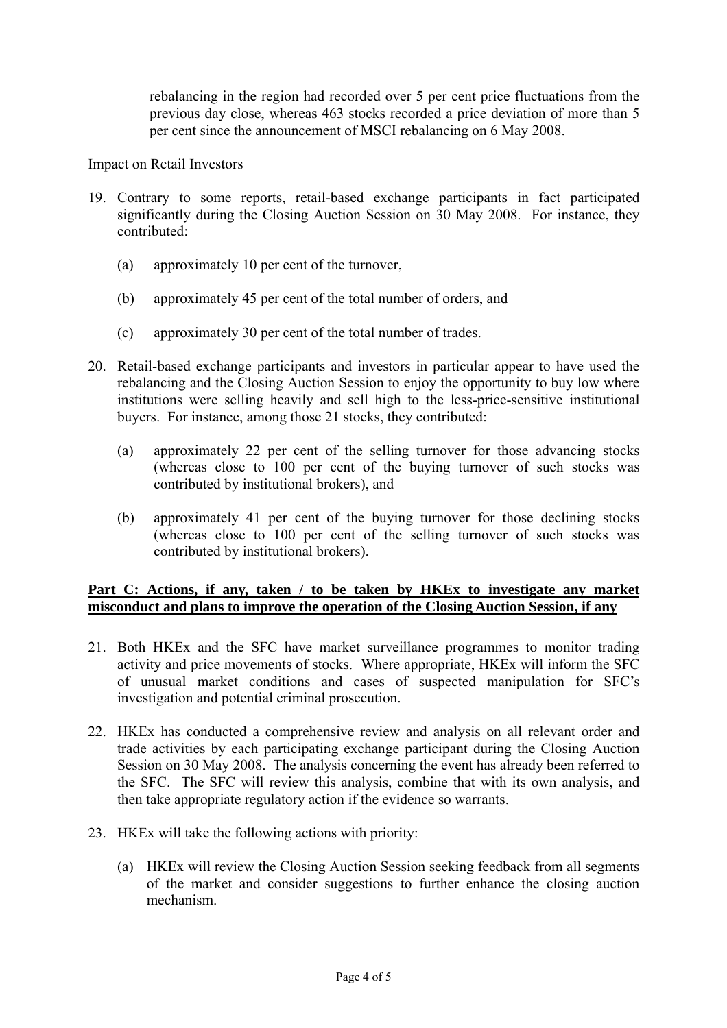rebalancing in the region had recorded over 5 per cent price fluctuations from the previous day close, whereas 463 stocks recorded a price deviation of more than 5 per cent since the announcement of MSCI rebalancing on 6 May 2008.

#### Impact on Retail Investors

- 19. Contrary to some reports, retail-based exchange participants in fact participated significantly during the Closing Auction Session on 30 May 2008. For instance, they contributed:
	- (a) approximately 10 per cent of the turnover,
	- (b) approximately 45 per cent of the total number of orders, and
	- (c) approximately 30 per cent of the total number of trades.
- 20. Retail-based exchange participants and investors in particular appear to have used the rebalancing and the Closing Auction Session to enjoy the opportunity to buy low where institutions were selling heavily and sell high to the less-price-sensitive institutional buyers. For instance, among those 21 stocks, they contributed:
	- (a) approximately 22 per cent of the selling turnover for those advancing stocks (whereas close to 100 per cent of the buying turnover of such stocks was contributed by institutional brokers), and
	- (b) approximately 41 per cent of the buying turnover for those declining stocks (whereas close to 100 per cent of the selling turnover of such stocks was contributed by institutional brokers).

#### Part C: Actions, if any, taken / to be taken by HKEx to investigate any market **misconduct and plans to improve the operation of the Closing Auction Session, if any**

- 21. Both HKEx and the SFC have market surveillance programmes to monitor trading activity and price movements of stocks. Where appropriate, HKEx will inform the SFC of unusual market conditions and cases of suspected manipulation for SFC's investigation and potential criminal prosecution.
- 22. HKEx has conducted a comprehensive review and analysis on all relevant order and trade activities by each participating exchange participant during the Closing Auction Session on 30 May 2008. The analysis concerning the event has already been referred to the SFC. The SFC will review this analysis, combine that with its own analysis, and then take appropriate regulatory action if the evidence so warrants.
- 23. HKEx will take the following actions with priority:
	- (a) HKEx will review the Closing Auction Session seeking feedback from all segments of the market and consider suggestions to further enhance the closing auction mechanism.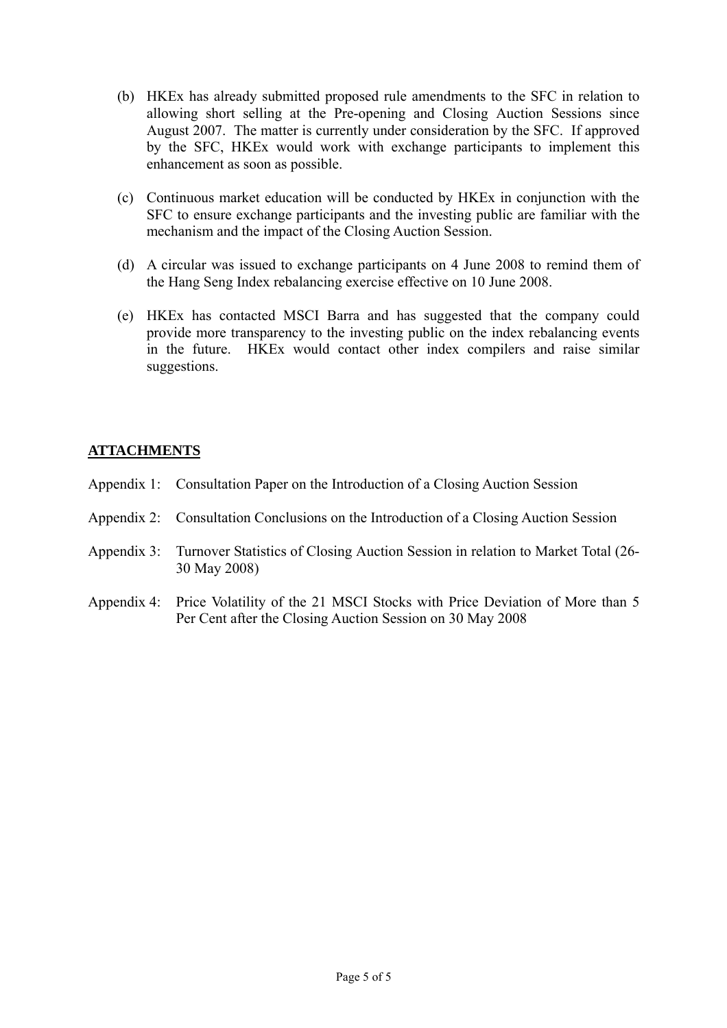- (b) HKEx has already submitted proposed rule amendments to the SFC in relation to allowing short selling at the Pre-opening and Closing Auction Sessions since August 2007. The matter is currently under consideration by the SFC. If approved by the SFC, HKEx would work with exchange participants to implement this enhancement as soon as possible.
- (c) Continuous market education will be conducted by HKEx in conjunction with the SFC to ensure exchange participants and the investing public are familiar with the mechanism and the impact of the Closing Auction Session.
- (d) A circular was issued to exchange participants on 4 June 2008 to remind them of the Hang Seng Index rebalancing exercise effective on 10 June 2008.
- (e) HKEx has contacted MSCI Barra and has suggested that the company could provide more transparency to the investing public on the index rebalancing events in the future. HKEx would contact other index compilers and raise similar suggestions.

#### **ATTACHMENTS**

- Appendix 1: Consultation Paper on the Introduction of a Closing Auction Session
- Appendix 2: Consultation Conclusions on the Introduction of a Closing Auction Session
- Appendix 3: Turnover Statistics of Closing Auction Session in relation to Market Total (26- 30 May 2008)
- Appendix 4: Price Volatility of the 21 MSCI Stocks with Price Deviation of More than 5 Per Cent after the Closing Auction Session on 30 May 2008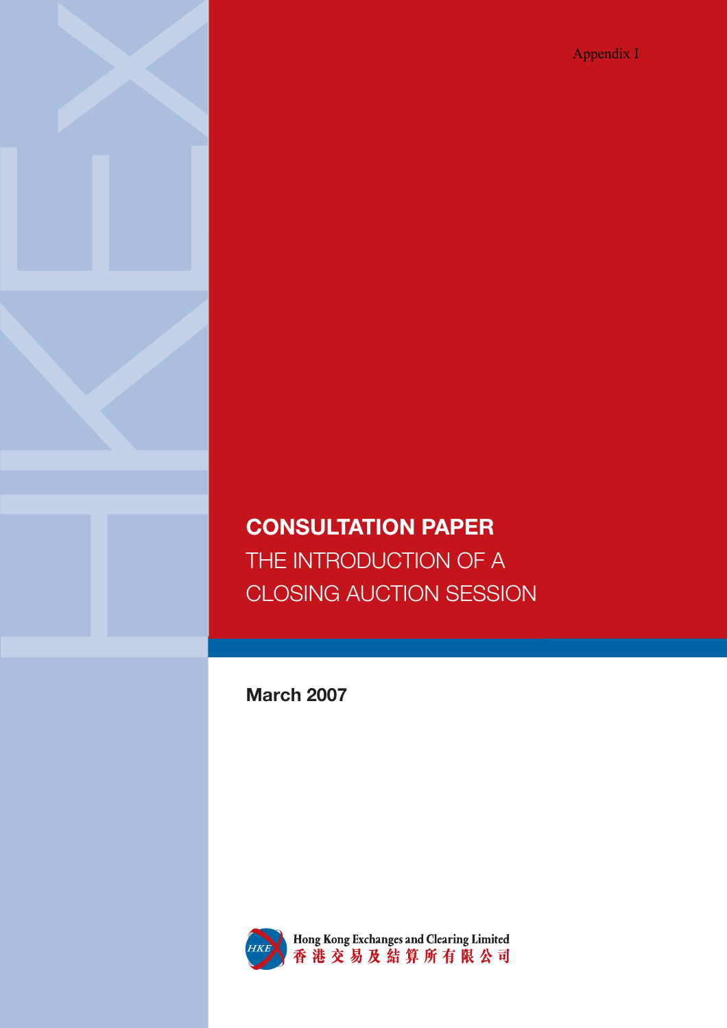Appendix I

## **CONSULTATION PAPER** THE INTRODUCTION OF A CLOSING AUCTION SESSION

**March 2007**



HKE Hong Kong Exchanges and Clearing Limited<br>香港交易及結算所有限公司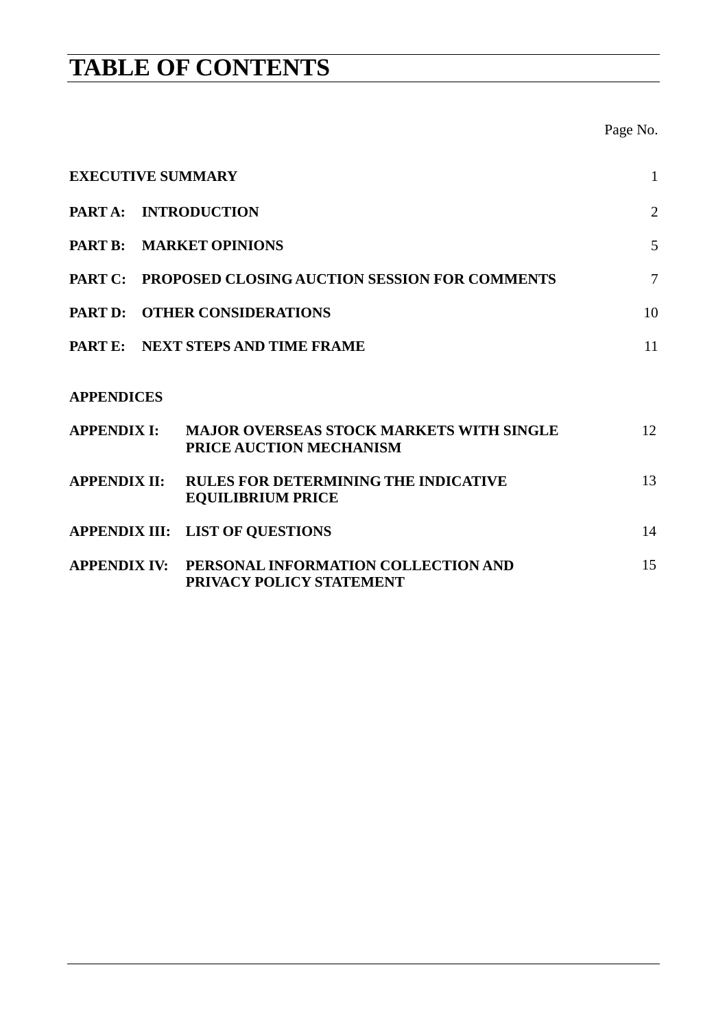## **TABLE OF CONTENTS**

Page No.

| <b>EXECUTIVE SUMMARY</b> |                                                                              | $\mathbf{1}$   |
|--------------------------|------------------------------------------------------------------------------|----------------|
| PART A: INTRODUCTION     |                                                                              | $\overline{2}$ |
| PART B: MARKET OPINIONS  |                                                                              | 5              |
|                          | PART C: PROPOSED CLOSING AUCTION SESSION FOR COMMENTS                        | $\overline{7}$ |
|                          | PART D: OTHER CONSIDERATIONS                                                 | 10             |
|                          | PART E: NEXT STEPS AND TIME FRAME                                            | 11             |
| <b>APPENDICES</b>        |                                                                              |                |
| <b>APPENDIX I:</b>       | <b>MAJOR OVERSEAS STOCK MARKETS WITH SINGLE</b><br>PRICE AUCTION MECHANISM   | 12             |
| <b>APPENDIX II:</b>      | <b>RULES FOR DETERMINING THE INDICATIVE</b><br><b>EQUILIBRIUM PRICE</b>      | 13             |
|                          | <b>APPENDIX III: LIST OF QUESTIONS</b>                                       | 14             |
|                          | APPENDIX IV: PERSONAL INFORMATION COLLECTION AND<br>PRIVACY POLICY STATEMENT | 15             |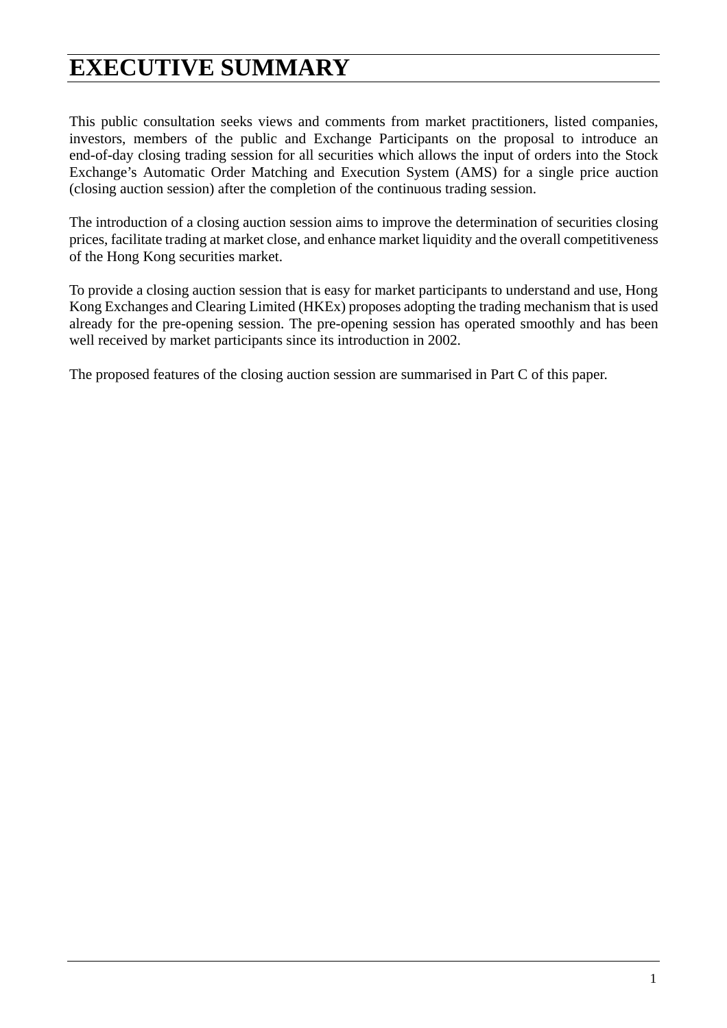## **EXECUTIVE SUMMARY**

This public consultation seeks views and comments from market practitioners, listed companies, investors, members of the public and Exchange Participants on the proposal to introduce an end-of-day closing trading session for all securities which allows the input of orders into the Stock Exchange's Automatic Order Matching and Execution System (AMS) for a single price auction (closing auction session) after the completion of the continuous trading session.

The introduction of a closing auction session aims to improve the determination of securities closing prices, facilitate trading at market close, and enhance market liquidity and the overall competitiveness of the Hong Kong securities market.

To provide a closing auction session that is easy for market participants to understand and use, Hong Kong Exchanges and Clearing Limited (HKEx) proposes adopting the trading mechanism that is used already for the pre-opening session. The pre-opening session has operated smoothly and has been well received by market participants since its introduction in 2002.

The proposed features of the closing auction session are summarised in Part C of this paper.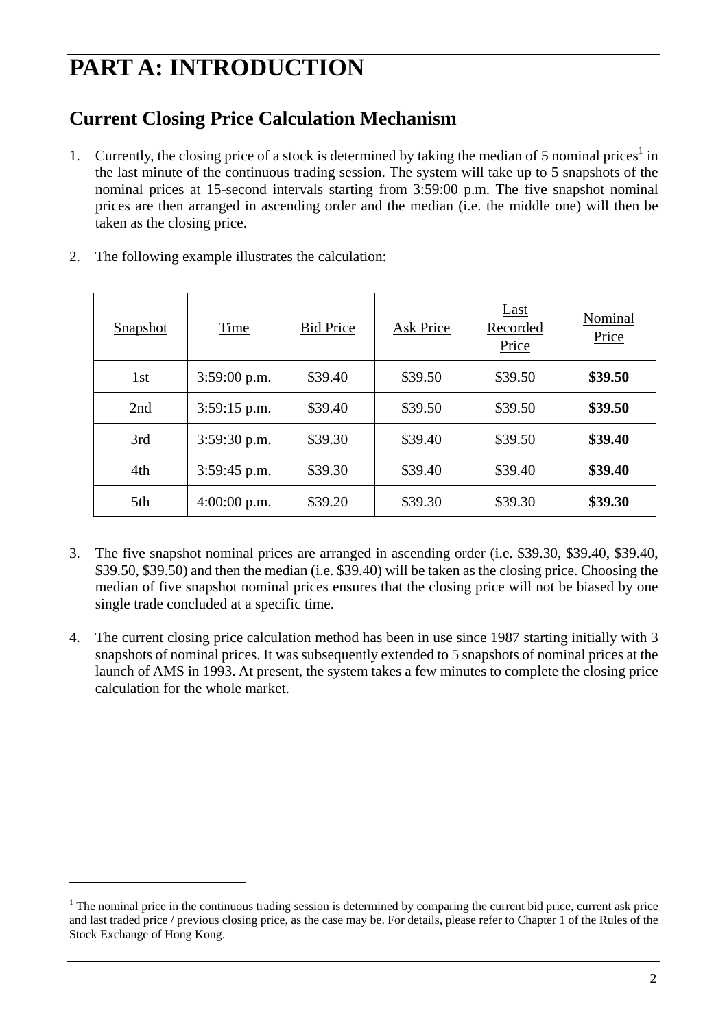## **PART A: INTRODUCTION**

### **Current Closing Price Calculation Mechanism**

1. Currently, the closing price of a stock is determined by taking the median of 5 nominal prices<sup>1</sup> in the last minute of the continuous trading session. The system will take up to 5 snapshots of the nominal prices at 15-second intervals starting from 3:59:00 p.m. The five snapshot nominal prices are then arranged in ascending order and the median (i.e. the middle one) will then be taken as the closing price.

| <b>Snapshot</b> | Time           | <b>Bid Price</b> | Ask Price | Last<br>Recorded<br>Price | Nominal<br>Price |
|-----------------|----------------|------------------|-----------|---------------------------|------------------|
| 1st             | 3:59:00 p.m.   | \$39.40          | \$39.50   | \$39.50                   | \$39.50          |
| 2nd             | $3:59:15$ p.m. | \$39.40          | \$39.50   | \$39.50                   | \$39.50          |
| 3rd             | $3:59:30$ p.m. | \$39.30          | \$39.40   | \$39.50                   | \$39.40          |
| 4th             | $3:59:45$ p.m. | \$39.30          | \$39.40   | \$39.40                   | \$39.40          |
| 5th             | $4:00:00$ p.m. | \$39.20          | \$39.30   | \$39.30                   | \$39.30          |

2. The following example illustrates the calculation:

 $\overline{a}$ 

- 3. The five snapshot nominal prices are arranged in ascending order (i.e. \$39.30, \$39.40, \$39.40, \$39.50, \$39.50) and then the median (i.e. \$39.40) will be taken as the closing price. Choosing the median of five snapshot nominal prices ensures that the closing price will not be biased by one single trade concluded at a specific time.
- 4. The current closing price calculation method has been in use since 1987 starting initially with 3 snapshots of nominal prices. It was subsequently extended to 5 snapshots of nominal prices at the launch of AMS in 1993. At present, the system takes a few minutes to complete the closing price calculation for the whole market.

 $1$  The nominal price in the continuous trading session is determined by comparing the current bid price, current ask price and last traded price / previous closing price, as the case may be. For details, please refer to Chapter 1 of the Rules of the Stock Exchange of Hong Kong.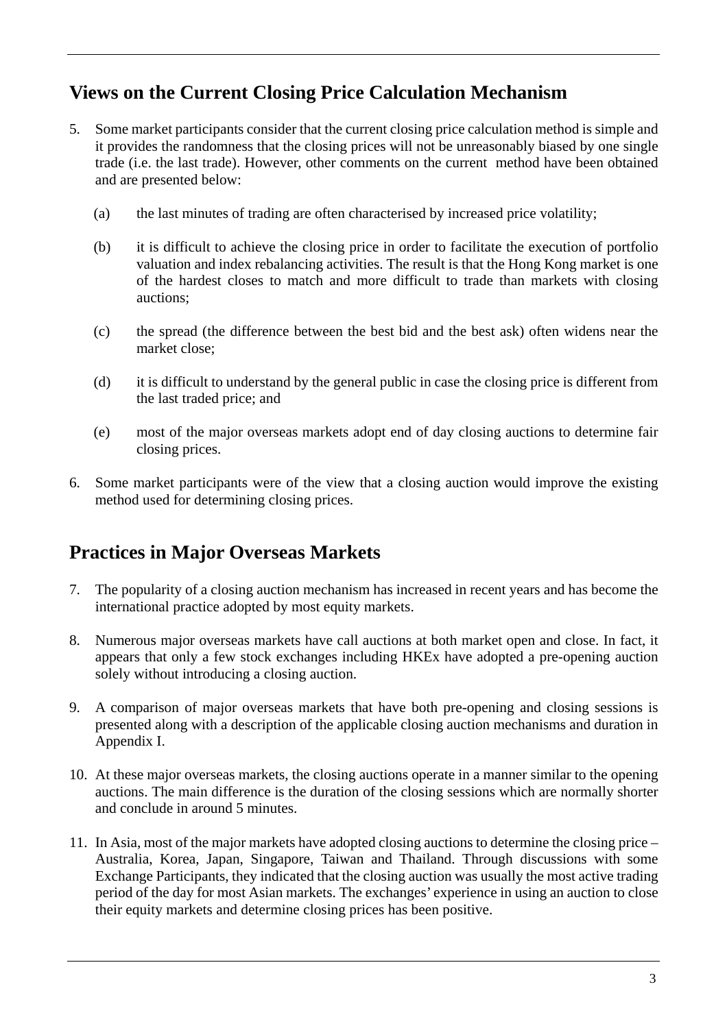### **Views on the Current Closing Price Calculation Mechanism**

- 5. Some market participants consider that the current closing price calculation method is simple and it provides the randomness that the closing prices will not be unreasonably biased by one single trade (i.e. the last trade). However, other comments on the current method have been obtained and are presented below:
	- (a) the last minutes of trading are often characterised by increased price volatility;
	- (b) it is difficult to achieve the closing price in order to facilitate the execution of portfolio valuation and index rebalancing activities. The result is that the Hong Kong market is one of the hardest closes to match and more difficult to trade than markets with closing auctions;
	- (c) the spread (the difference between the best bid and the best ask) often widens near the market close;
	- (d) it is difficult to understand by the general public in case the closing price is different from the last traded price; and
	- (e) most of the major overseas markets adopt end of day closing auctions to determine fair closing prices.
- 6. Some market participants were of the view that a closing auction would improve the existing method used for determining closing prices.

## **Practices in Major Overseas Markets**

- 7. The popularity of a closing auction mechanism has increased in recent years and has become the international practice adopted by most equity markets.
- 8. Numerous major overseas markets have call auctions at both market open and close. In fact, it appears that only a few stock exchanges including HKEx have adopted a pre-opening auction solely without introducing a closing auction.
- 9. A comparison of major overseas markets that have both pre-opening and closing sessions is presented along with a description of the applicable closing auction mechanisms and duration in Appendix I.
- 10. At these major overseas markets, the closing auctions operate in a manner similar to the opening auctions. The main difference is the duration of the closing sessions which are normally shorter and conclude in around 5 minutes.
- 11. In Asia, most of the major markets have adopted closing auctions to determine the closing price Australia, Korea, Japan, Singapore, Taiwan and Thailand. Through discussions with some Exchange Participants, they indicated that the closing auction was usually the most active trading period of the day for most Asian markets. The exchanges' experience in using an auction to close their equity markets and determine closing prices has been positive.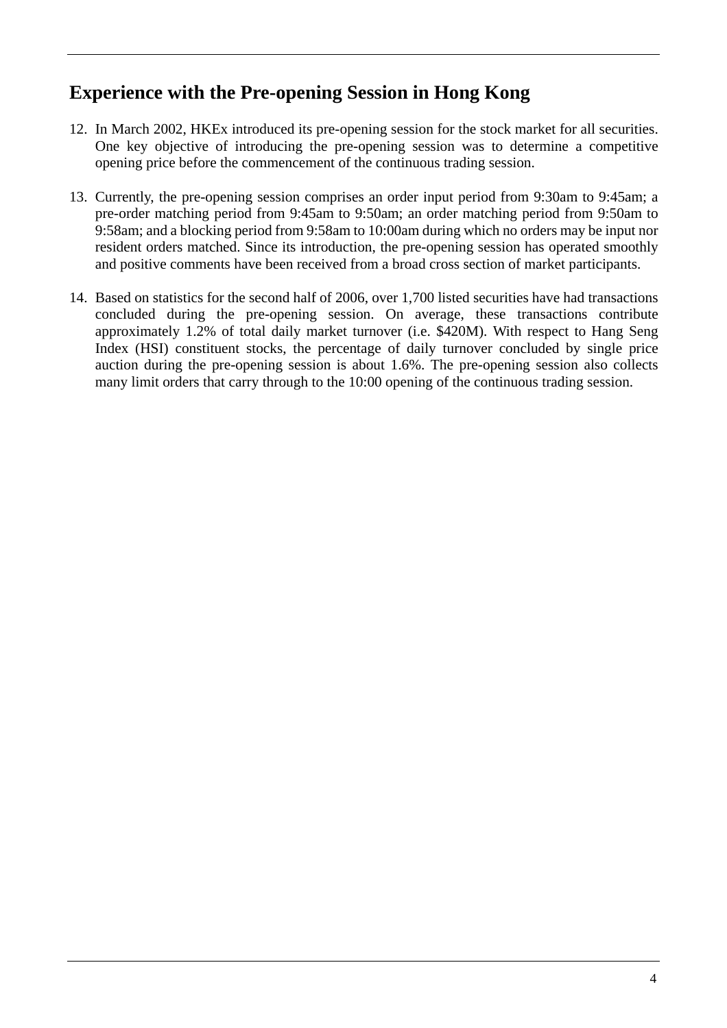### **Experience with the Pre-opening Session in Hong Kong**

- 12. In March 2002, HKEx introduced its pre-opening session for the stock market for all securities. One key objective of introducing the pre-opening session was to determine a competitive opening price before the commencement of the continuous trading session.
- 13. Currently, the pre-opening session comprises an order input period from 9:30am to 9:45am; a pre-order matching period from 9:45am to 9:50am; an order matching period from 9:50am to 9:58am; and a blocking period from 9:58am to 10:00am during which no orders may be input nor resident orders matched. Since its introduction, the pre-opening session has operated smoothly and positive comments have been received from a broad cross section of market participants.
- 14. Based on statistics for the second half of 2006, over 1,700 listed securities have had transactions concluded during the pre-opening session. On average, these transactions contribute approximately 1.2% of total daily market turnover (i.e. \$420M). With respect to Hang Seng Index (HSI) constituent stocks, the percentage of daily turnover concluded by single price auction during the pre-opening session is about 1.6%. The pre-opening session also collects many limit orders that carry through to the 10:00 opening of the continuous trading session.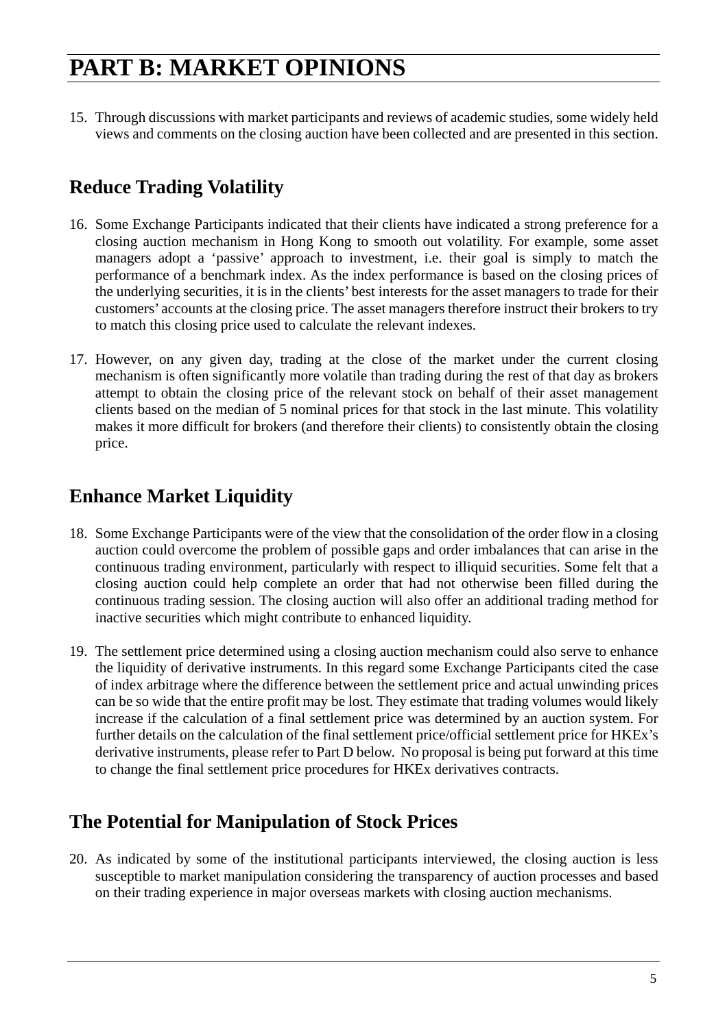15. Through discussions with market participants and reviews of academic studies, some widely held views and comments on the closing auction have been collected and are presented in this section.

## **Reduce Trading Volatility**

- 16. Some Exchange Participants indicated that their clients have indicated a strong preference for a closing auction mechanism in Hong Kong to smooth out volatility. For example, some asset managers adopt a 'passive' approach to investment, i.e. their goal is simply to match the performance of a benchmark index. As the index performance is based on the closing prices of the underlying securities, it is in the clients' best interests for the asset managers to trade for their customers' accounts at the closing price. The asset managers therefore instruct their brokers to try to match this closing price used to calculate the relevant indexes.
- 17. However, on any given day, trading at the close of the market under the current closing mechanism is often significantly more volatile than trading during the rest of that day as brokers attempt to obtain the closing price of the relevant stock on behalf of their asset management clients based on the median of 5 nominal prices for that stock in the last minute. This volatility makes it more difficult for brokers (and therefore their clients) to consistently obtain the closing price.

## **Enhance Market Liquidity**

- 18. Some Exchange Participants were of the view that the consolidation of the order flow in a closing auction could overcome the problem of possible gaps and order imbalances that can arise in the continuous trading environment, particularly with respect to illiquid securities. Some felt that a closing auction could help complete an order that had not otherwise been filled during the continuous trading session. The closing auction will also offer an additional trading method for inactive securities which might contribute to enhanced liquidity.
- 19. The settlement price determined using a closing auction mechanism could also serve to enhance the liquidity of derivative instruments. In this regard some Exchange Participants cited the case of index arbitrage where the difference between the settlement price and actual unwinding prices can be so wide that the entire profit may be lost. They estimate that trading volumes would likely increase if the calculation of a final settlement price was determined by an auction system. For further details on the calculation of the final settlement price/official settlement price for HKEx's derivative instruments, please refer to Part D below. No proposal is being put forward at this time to change the final settlement price procedures for HKEx derivatives contracts.

### **The Potential for Manipulation of Stock Prices**

20. As indicated by some of the institutional participants interviewed, the closing auction is less susceptible to market manipulation considering the transparency of auction processes and based on their trading experience in major overseas markets with closing auction mechanisms.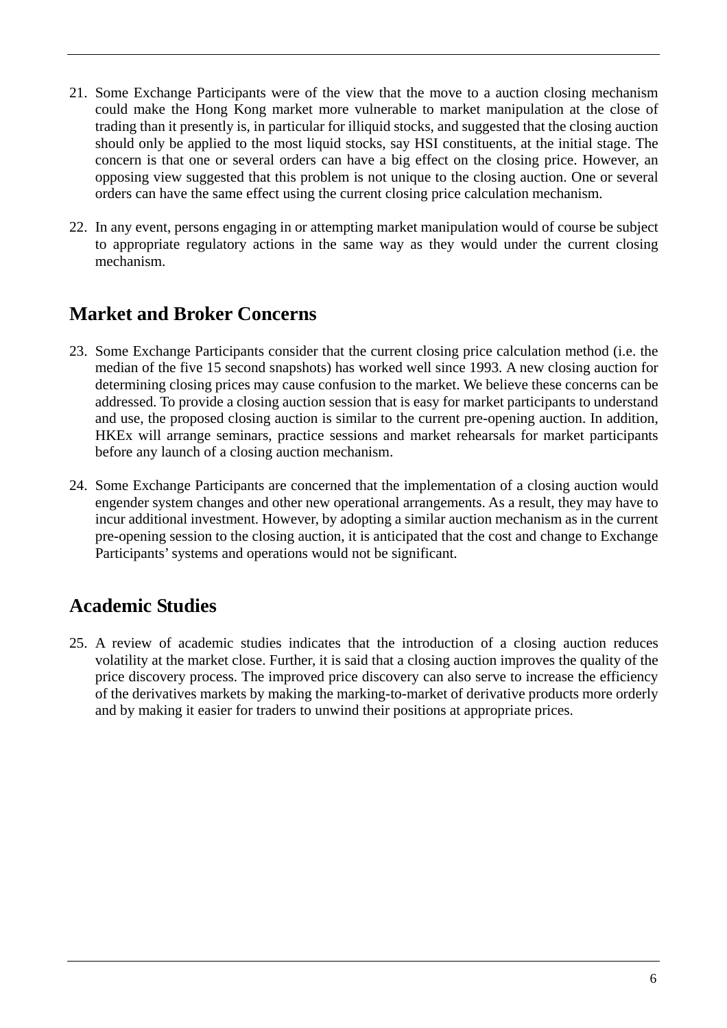- 21. Some Exchange Participants were of the view that the move to a auction closing mechanism could make the Hong Kong market more vulnerable to market manipulation at the close of trading than it presently is, in particular for illiquid stocks, and suggested that the closing auction should only be applied to the most liquid stocks, say HSI constituents, at the initial stage. The concern is that one or several orders can have a big effect on the closing price. However, an opposing view suggested that this problem is not unique to the closing auction. One or several orders can have the same effect using the current closing price calculation mechanism.
- 22. In any event, persons engaging in or attempting market manipulation would of course be subject to appropriate regulatory actions in the same way as they would under the current closing mechanism.

### **Market and Broker Concerns**

- 23. Some Exchange Participants consider that the current closing price calculation method (i.e. the median of the five 15 second snapshots) has worked well since 1993. A new closing auction for determining closing prices may cause confusion to the market. We believe these concerns can be addressed. To provide a closing auction session that is easy for market participants to understand and use, the proposed closing auction is similar to the current pre-opening auction. In addition, HKEx will arrange seminars, practice sessions and market rehearsals for market participants before any launch of a closing auction mechanism.
- 24. Some Exchange Participants are concerned that the implementation of a closing auction would engender system changes and other new operational arrangements. As a result, they may have to incur additional investment. However, by adopting a similar auction mechanism as in the current pre-opening session to the closing auction, it is anticipated that the cost and change to Exchange Participants' systems and operations would not be significant.

## **Academic Studies**

25. A review of academic studies indicates that the introduction of a closing auction reduces volatility at the market close. Further, it is said that a closing auction improves the quality of the price discovery process. The improved price discovery can also serve to increase the efficiency of the derivatives markets by making the marking-to-market of derivative products more orderly and by making it easier for traders to unwind their positions at appropriate prices.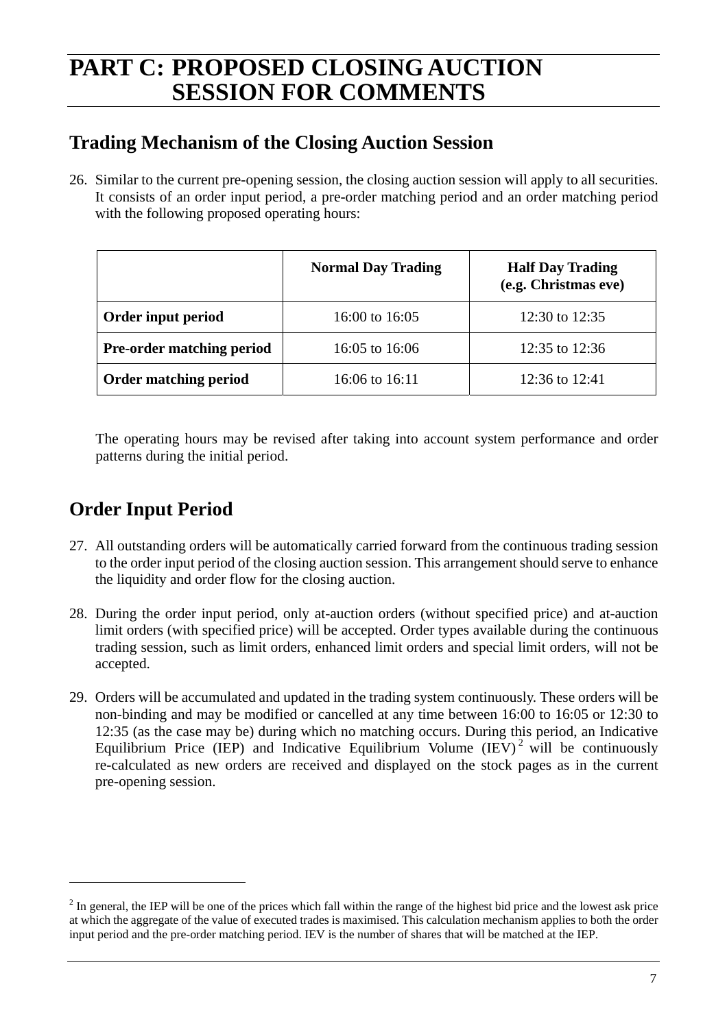## **PART C: PROPOSED CLOSING AUCTION SESSION FOR COMMENTS**

## **Trading Mechanism of the Closing Auction Session**

26. Similar to the current pre-opening session, the closing auction session will apply to all securities. It consists of an order input period, a pre-order matching period and an order matching period with the following proposed operating hours:

|                                  | <b>Normal Day Trading</b> | <b>Half Day Trading</b><br>(e.g. Christmas eve) |
|----------------------------------|---------------------------|-------------------------------------------------|
| Order input period               | 16:00 to 16:05            | 12:30 to 12:35                                  |
| <b>Pre-order matching period</b> | 16:05 to 16:06            | 12:35 to 12:36                                  |
| <b>Order matching period</b>     | 16:06 to 16:11            | 12:36 to 12:41                                  |

The operating hours may be revised after taking into account system performance and order patterns during the initial period.

## **Order Input Period**

 $\overline{a}$ 

- 27. All outstanding orders will be automatically carried forward from the continuous trading session to the order input period of the closing auction session. This arrangement should serve to enhance the liquidity and order flow for the closing auction.
- 28. During the order input period, only at-auction orders (without specified price) and at-auction limit orders (with specified price) will be accepted. Order types available during the continuous trading session, such as limit orders, enhanced limit orders and special limit orders, will not be accepted.
- 29. Orders will be accumulated and updated in the trading system continuously. These orders will be non-binding and may be modified or cancelled at any time between 16:00 to 16:05 or 12:30 to 12:35 (as the case may be) during which no matching occurs. During this period, an Indicative Equilibrium Price (IEP) and Indicative Equilibrium Volume (IEV)<sup>2</sup> will be continuously re-calculated as new orders are received and displayed on the stock pages as in the current pre-opening session.

 $2<sup>2</sup>$  In general, the IEP will be one of the prices which fall within the range of the highest bid price and the lowest ask price at which the aggregate of the value of executed trades is maximised. This calculation mechanism applies to both the order input period and the pre-order matching period. IEV is the number of shares that will be matched at the IEP.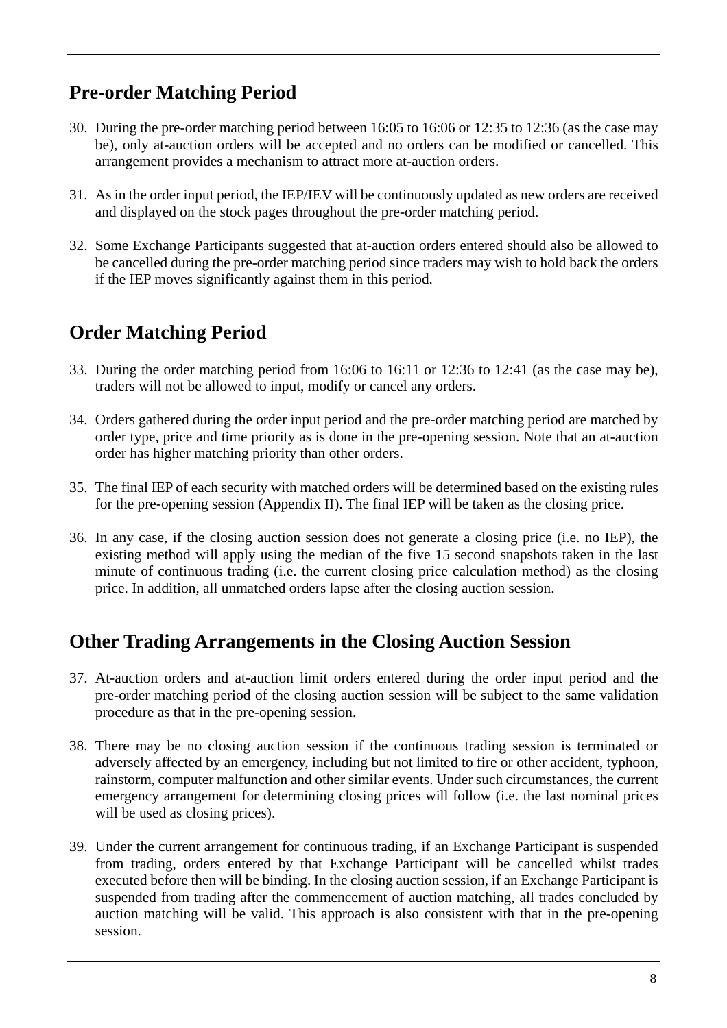## **Pre-order Matching Period**

- 30. During the pre-order matching period between 16:05 to 16:06 or 12:35 to 12:36 (as the case may be), only at-auction orders will be accepted and no orders can be modified or cancelled. This arrangement provides a mechanism to attract more at-auction orders.
- 31. As in the order input period, the IEP/IEV will be continuously updated as new orders are received and displayed on the stock pages throughout the pre-order matching period.
- 32. Some Exchange Participants suggested that at-auction orders entered should also be allowed to be cancelled during the pre-order matching period since traders may wish to hold back the orders if the IEP moves significantly against them in this period.

### **Order Matching Period**

- 33. During the order matching period from 16:06 to 16:11 or 12:36 to 12:41 (as the case may be), traders will not be allowed to input, modify or cancel any orders.
- 34. Orders gathered during the order input period and the pre-order matching period are matched by order type, price and time priority as is done in the pre-opening session. Note that an at-auction order has higher matching priority than other orders.
- 35. The final IEP of each security with matched orders will be determined based on the existing rules for the pre-opening session (Appendix II). The final IEP will be taken as the closing price.
- 36. In any case, if the closing auction session does not generate a closing price (i.e. no IEP), the existing method will apply using the median of the five 15 second snapshots taken in the last minute of continuous trading (i.e. the current closing price calculation method) as the closing price. In addition, all unmatched orders lapse after the closing auction session.

### **Other Trading Arrangements in the Closing Auction Session**

- 37. At-auction orders and at-auction limit orders entered during the order input period and the pre-order matching period of the closing auction session will be subject to the same validation procedure as that in the pre-opening session.
- 38. There may be no closing auction session if the continuous trading session is terminated or adversely affected by an emergency, including but not limited to fire or other accident, typhoon, rainstorm, computer malfunction and other similar events. Under such circumstances, the current emergency arrangement for determining closing prices will follow (i.e. the last nominal prices will be used as closing prices).
- 39. Under the current arrangement for continuous trading, if an Exchange Participant is suspended from trading, orders entered by that Exchange Participant will be cancelled whilst trades executed before then will be binding. In the closing auction session, if an Exchange Participant is suspended from trading after the commencement of auction matching, all trades concluded by auction matching will be valid. This approach is also consistent with that in the pre-opening session.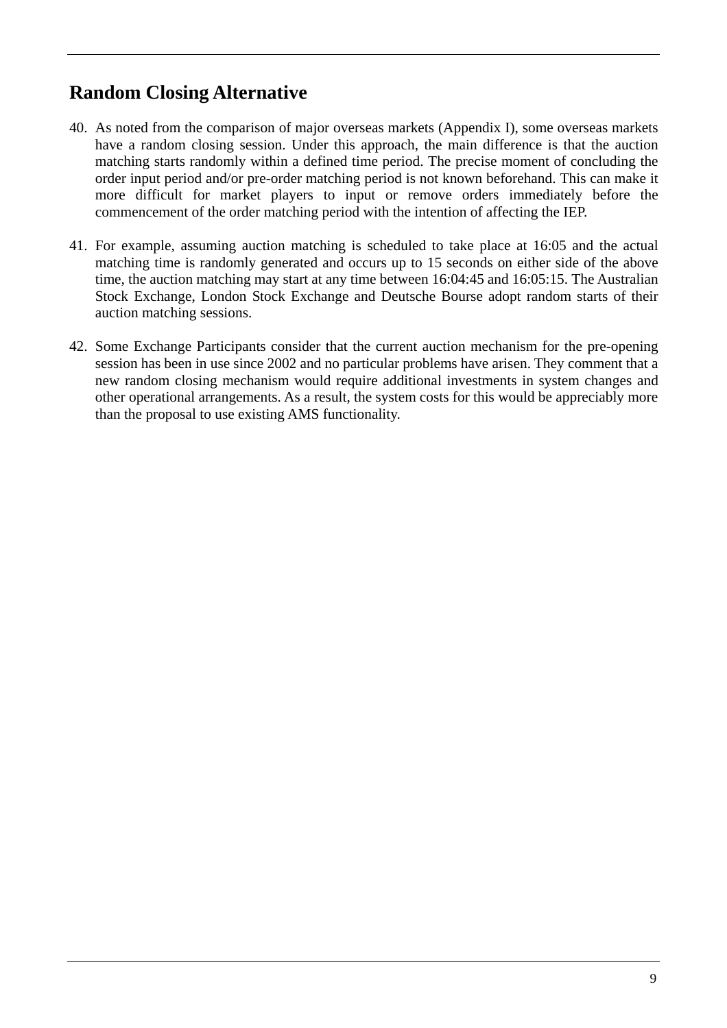## **Random Closing Alternative**

- 40. As noted from the comparison of major overseas markets (Appendix I), some overseas markets have a random closing session. Under this approach, the main difference is that the auction matching starts randomly within a defined time period. The precise moment of concluding the order input period and/or pre-order matching period is not known beforehand. This can make it more difficult for market players to input or remove orders immediately before the commencement of the order matching period with the intention of affecting the IEP.
- 41. For example, assuming auction matching is scheduled to take place at 16:05 and the actual matching time is randomly generated and occurs up to 15 seconds on either side of the above time, the auction matching may start at any time between 16:04:45 and 16:05:15. The Australian Stock Exchange, London Stock Exchange and Deutsche Bourse adopt random starts of their auction matching sessions.
- 42. Some Exchange Participants consider that the current auction mechanism for the pre-opening session has been in use since 2002 and no particular problems have arisen. They comment that a new random closing mechanism would require additional investments in system changes and other operational arrangements. As a result, the system costs for this would be appreciably more than the proposal to use existing AMS functionality.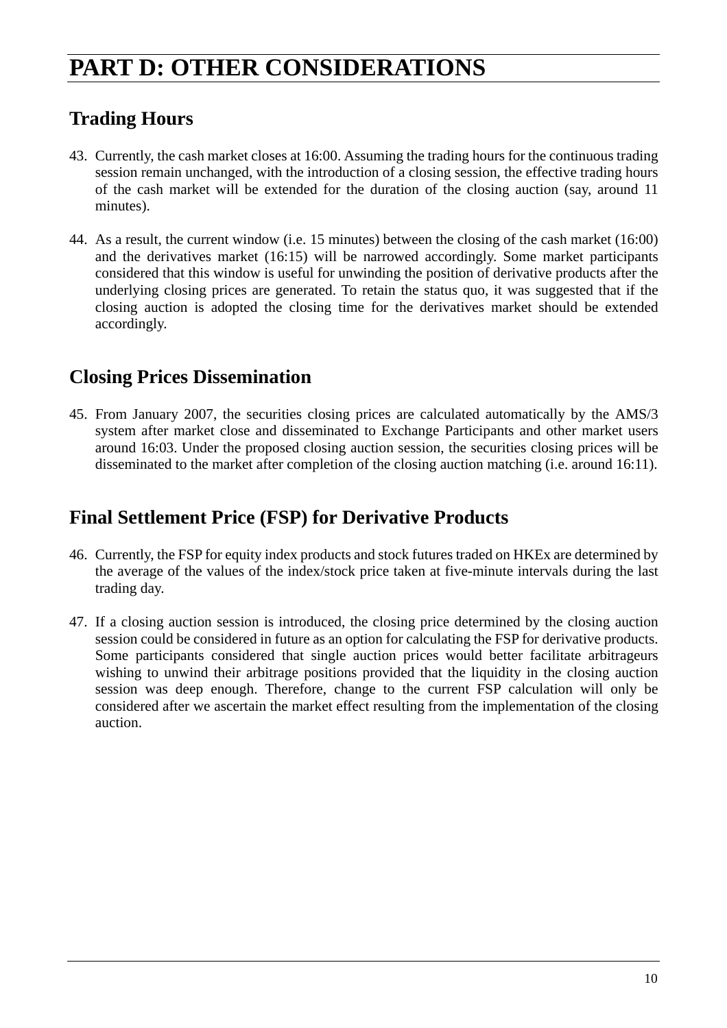## **PART D: OTHER CONSIDERATIONS**

## **Trading Hours**

- 43. Currently, the cash market closes at 16:00. Assuming the trading hours for the continuous trading session remain unchanged, with the introduction of a closing session, the effective trading hours of the cash market will be extended for the duration of the closing auction (say, around 11 minutes).
- 44. As a result, the current window (i.e. 15 minutes) between the closing of the cash market (16:00) and the derivatives market (16:15) will be narrowed accordingly. Some market participants considered that this window is useful for unwinding the position of derivative products after the underlying closing prices are generated. To retain the status quo, it was suggested that if the closing auction is adopted the closing time for the derivatives market should be extended accordingly.

### **Closing Prices Dissemination**

45. From January 2007, the securities closing prices are calculated automatically by the AMS/3 system after market close and disseminated to Exchange Participants and other market users around 16:03. Under the proposed closing auction session, the securities closing prices will be disseminated to the market after completion of the closing auction matching (i.e. around 16:11).

### **Final Settlement Price (FSP) for Derivative Products**

- 46. Currently, the FSP for equity index products and stock futures traded on HKEx are determined by the average of the values of the index/stock price taken at five-minute intervals during the last trading day.
- 47. If a closing auction session is introduced, the closing price determined by the closing auction session could be considered in future as an option for calculating the FSP for derivative products. Some participants considered that single auction prices would better facilitate arbitrageurs wishing to unwind their arbitrage positions provided that the liquidity in the closing auction session was deep enough. Therefore, change to the current FSP calculation will only be considered after we ascertain the market effect resulting from the implementation of the closing auction.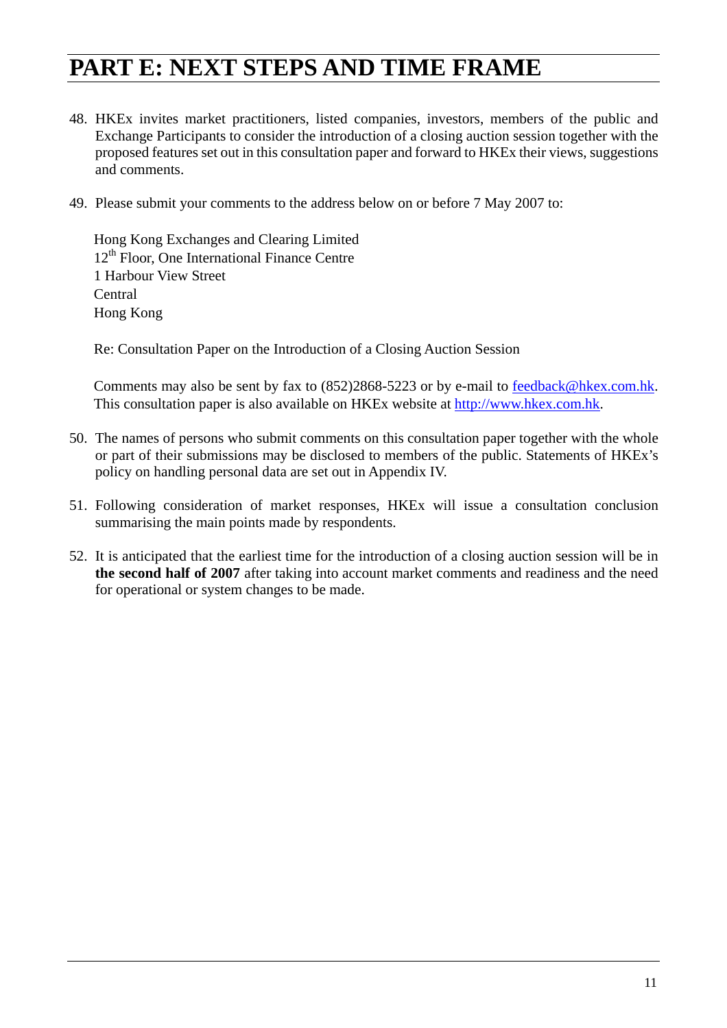## **PART E: NEXT STEPS AND TIME FRAME**

- 48. HKEx invites market practitioners, listed companies, investors, members of the public and Exchange Participants to consider the introduction of a closing auction session together with the proposed features set out in this consultation paper and forward to HKEx their views, suggestions and comments.
- 49. Please submit your comments to the address below on or before 7 May 2007 to:

Hong Kong Exchanges and Clearing Limited  $12<sup>th</sup>$  Floor, One International Finance Centre 1 Harbour View Street Central Hong Kong

Re: Consultation Paper on the Introduction of a Closing Auction Session

Comments may also be sent by fax to (852)2868-5223 or by e-mail to feedback@hkex.com.hk. This consultation paper is also available on HKEx website at http://www.hkex.com.hk.

- 50. The names of persons who submit comments on this consultation paper together with the whole or part of their submissions may be disclosed to members of the public. Statements of HKEx's policy on handling personal data are set out in Appendix IV.
- 51. Following consideration of market responses, HKEx will issue a consultation conclusion summarising the main points made by respondents.
- 52. It is anticipated that the earliest time for the introduction of a closing auction session will be in **the second half of 2007** after taking into account market comments and readiness and the need for operational or system changes to be made.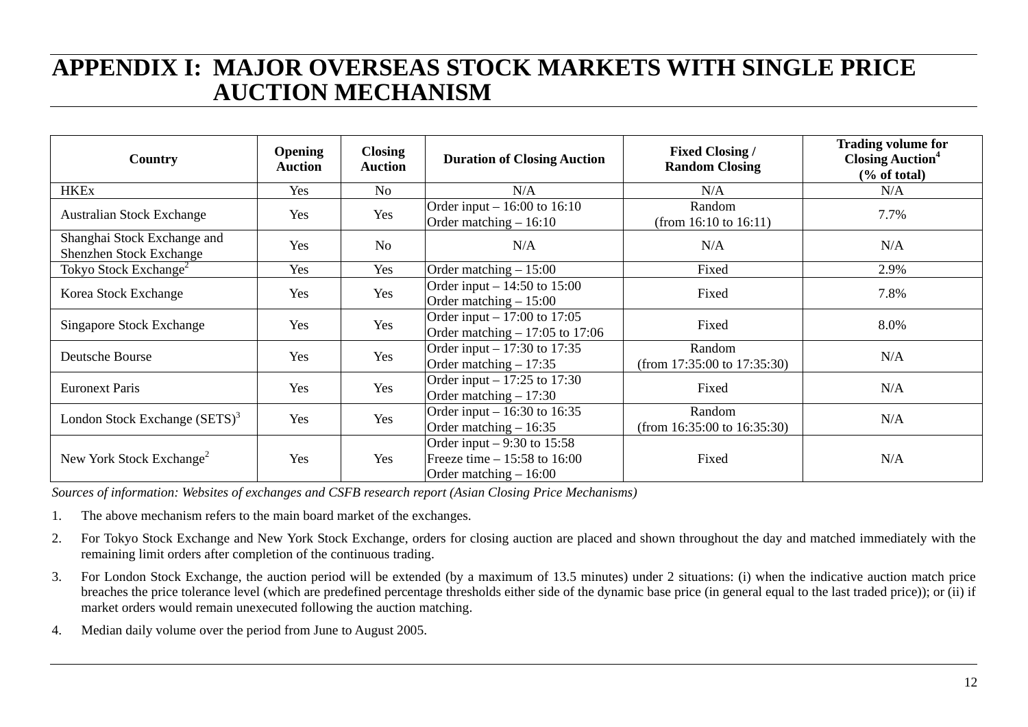## **APPENDIX I: MAJOR OVERSEAS STOCK MARKETS WITH SINGLE PRICE AUCTION MECHANISM**

| Country                                                | <b>Opening</b><br><b>Auction</b> | <b>Closing</b><br><b>Auction</b> | <b>Duration of Closing Auction</b>                                                       | <b>Fixed Closing /</b><br><b>Random Closing</b> | <b>Trading volume for</b><br><b>Closing Auction</b> <sup>4</sup><br>$\frac{6}{6}$ of total) |
|--------------------------------------------------------|----------------------------------|----------------------------------|------------------------------------------------------------------------------------------|-------------------------------------------------|---------------------------------------------------------------------------------------------|
| <b>HKEx</b>                                            | Yes                              | No                               | N/A                                                                                      | N/A                                             | N/A                                                                                         |
| <b>Australian Stock Exchange</b>                       | Yes                              | Yes                              | Order input $-16:00$ to 16:10<br>Order matching $-16:10$                                 | Random<br>(from $16:10$ to $16:11$ )            | 7.7%                                                                                        |
| Shanghai Stock Exchange and<br>Shenzhen Stock Exchange | Yes                              | N <sub>o</sub>                   | N/A                                                                                      | N/A                                             | N/A                                                                                         |
| Tokyo Stock Exchange <sup>2</sup>                      | Yes                              | Yes                              | Order matching $-15:00$                                                                  | Fixed                                           | 2.9%                                                                                        |
| Korea Stock Exchange                                   | Yes                              | Yes                              | Order input – $14:50$ to 15:00<br>Order matching $-15:00$                                | Fixed                                           | 7.8%                                                                                        |
| <b>Singapore Stock Exchange</b>                        | Yes                              | Yes                              | Order input – $17:00$ to 17:05<br>Order matching $-17:05$ to 17:06                       | Fixed                                           | 8.0%                                                                                        |
| Deutsche Bourse                                        | Yes                              | Yes                              | Order input – 17:30 to 17:35<br>Order matching $-17:35$                                  | Random<br>(from $17:35:00$ to $17:35:30$ )      | N/A                                                                                         |
| <b>Euronext Paris</b>                                  | Yes                              | Yes                              | Order input – $17:25$ to 17:30<br>Order matching $-17:30$                                | Fixed                                           | N/A                                                                                         |
| London Stock Exchange (SETS) <sup>3</sup>              | Yes                              | Yes                              | Order input $-16:30$ to 16:35<br>Order matching $-16:35$                                 | Random<br>(from $16:35:00$ to $16:35:30$ )      | N/A                                                                                         |
| New York Stock Exchange <sup>2</sup>                   | Yes                              | Yes                              | Order input $-9:30$ to 15:58<br>Freeze time $-15:58$ to 16:00<br>Order matching $-16:00$ | Fixed                                           | N/A                                                                                         |

*Sources of information: Websites of exchanges and CSFB research report (Asian Closing Price Mechanisms)* 

- 1.The above mechanism refers to the main board market of the exchanges.
- 2. For Tokyo Stock Exchange and New York Stock Exchange, orders for closing auction are placed and shown throughout the day and matched immediately with the remaining limit orders after completion of the continuous trading.
- 3. For London Stock Exchange, the auction period will be extended (by a maximum of 13.5 minutes) under 2 situations: (i) when the indicative auction match price breaches the price tolerance level (which are predefined percentage thresholds either side of the dynamic base price (in general equal to the last traded price)); or (ii) if market orders would remain unexecuted following the auction matching.
- 4.Median daily volume over the period from June to August 2005.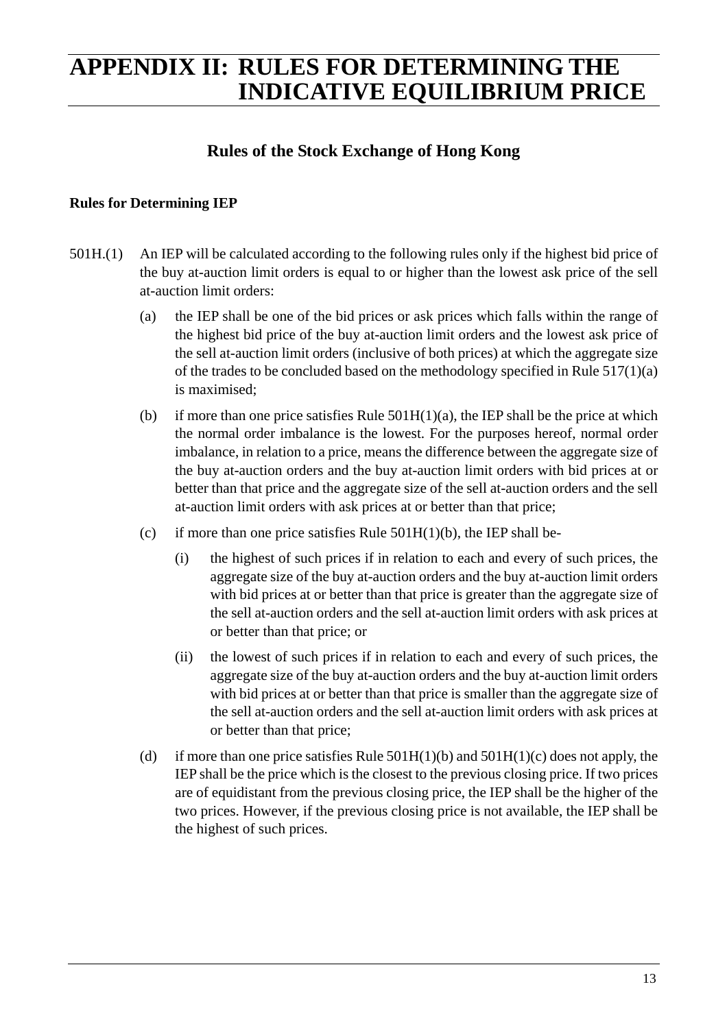## **APPENDIX II: RULES FOR DETERMINING THE INDICATIVE EQUILIBRIUM PRICE**

### **Rules of the Stock Exchange of Hong Kong**

#### **Rules for Determining IEP**

- 501H.(1) An IEP will be calculated according to the following rules only if the highest bid price of the buy at-auction limit orders is equal to or higher than the lowest ask price of the sell at-auction limit orders:
	- (a) the IEP shall be one of the bid prices or ask prices which falls within the range of the highest bid price of the buy at-auction limit orders and the lowest ask price of the sell at-auction limit orders (inclusive of both prices) at which the aggregate size of the trades to be concluded based on the methodology specified in Rule 517(1)(a) is maximised;
	- (b) if more than one price satisfies Rule  $501H(1)(a)$ , the IEP shall be the price at which the normal order imbalance is the lowest. For the purposes hereof, normal order imbalance, in relation to a price, means the difference between the aggregate size of the buy at-auction orders and the buy at-auction limit orders with bid prices at or better than that price and the aggregate size of the sell at-auction orders and the sell at-auction limit orders with ask prices at or better than that price;
	- (c) if more than one price satisfies Rule  $501H(1)(b)$ , the IEP shall be-
		- (i) the highest of such prices if in relation to each and every of such prices, the aggregate size of the buy at-auction orders and the buy at-auction limit orders with bid prices at or better than that price is greater than the aggregate size of the sell at-auction orders and the sell at-auction limit orders with ask prices at or better than that price; or
		- (ii) the lowest of such prices if in relation to each and every of such prices, the aggregate size of the buy at-auction orders and the buy at-auction limit orders with bid prices at or better than that price is smaller than the aggregate size of the sell at-auction orders and the sell at-auction limit orders with ask prices at or better than that price;
	- (d) if more than one price satisfies Rule  $501H(1)(b)$  and  $501H(1)(c)$  does not apply, the IEP shall be the price which is the closest to the previous closing price. If two prices are of equidistant from the previous closing price, the IEP shall be the higher of the two prices. However, if the previous closing price is not available, the IEP shall be the highest of such prices.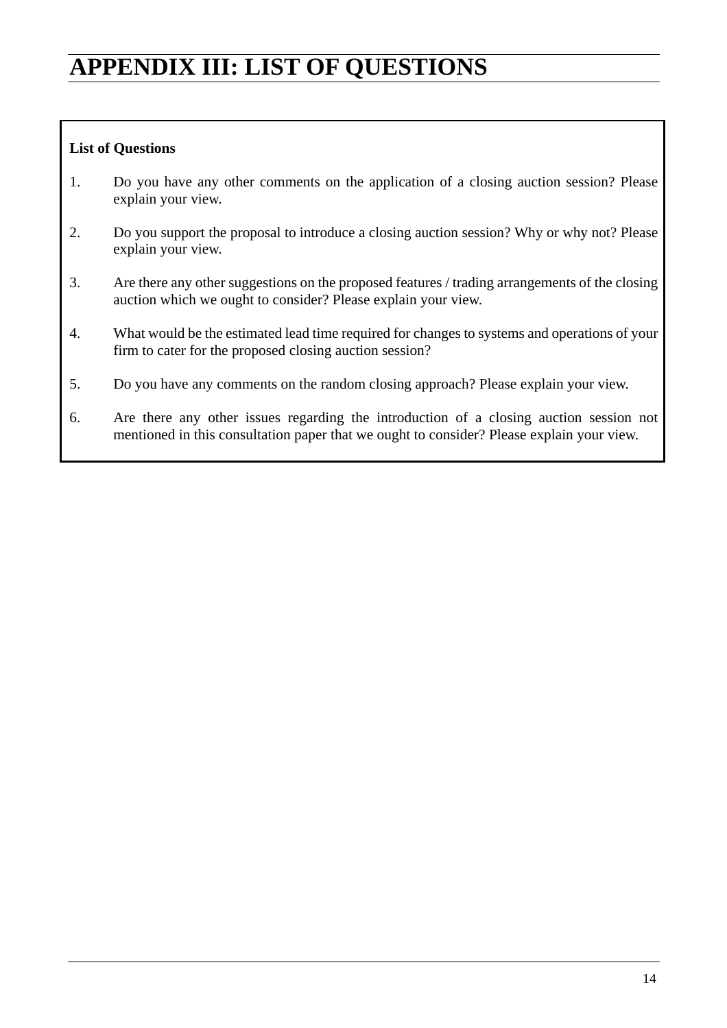## **APPENDIX III: LIST OF QUESTIONS**

#### **List of Questions**

- 1. Do you have any other comments on the application of a closing auction session? Please explain your view.
- 2. Do you support the proposal to introduce a closing auction session? Why or why not? Please explain your view.
- 3. Are there any other suggestions on the proposed features / trading arrangements of the closing auction which we ought to consider? Please explain your view.
- 4. What would be the estimated lead time required for changes to systems and operations of your firm to cater for the proposed closing auction session?
- 5. Do you have any comments on the random closing approach? Please explain your view.
- 6. Are there any other issues regarding the introduction of a closing auction session not mentioned in this consultation paper that we ought to consider? Please explain your view.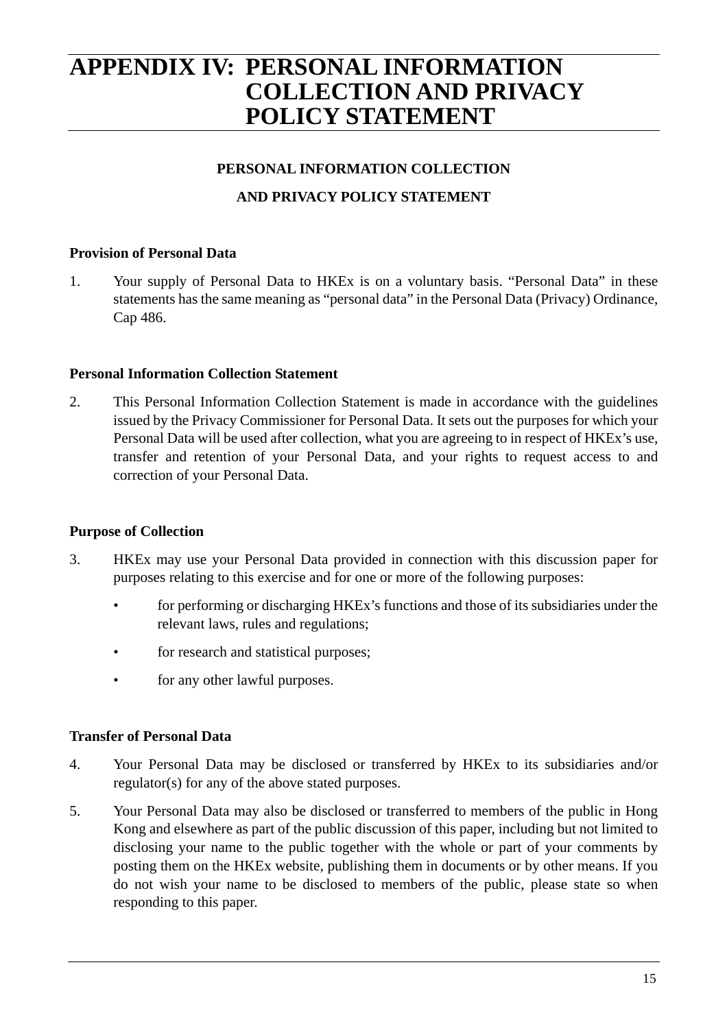## **APPENDIX IV: PERSONAL INFORMATION COLLECTION AND PRIVACY POLICY STATEMENT**

#### **PERSONAL INFORMATION COLLECTION**

#### **AND PRIVACY POLICY STATEMENT**

#### **Provision of Personal Data**

1. Your supply of Personal Data to HKEx is on a voluntary basis. "Personal Data" in these statements has the same meaning as "personal data" in the Personal Data (Privacy) Ordinance, Cap 486.

#### **Personal Information Collection Statement**

2. This Personal Information Collection Statement is made in accordance with the guidelines issued by the Privacy Commissioner for Personal Data. It sets out the purposes for which your Personal Data will be used after collection, what you are agreeing to in respect of HKEx's use, transfer and retention of your Personal Data, and your rights to request access to and correction of your Personal Data.

#### **Purpose of Collection**

- 3. HKEx may use your Personal Data provided in connection with this discussion paper for purposes relating to this exercise and for one or more of the following purposes:
	- for performing or discharging HKEx's functions and those of its subsidiaries under the relevant laws, rules and regulations;
	- for research and statistical purposes;
	- for any other lawful purposes.

#### **Transfer of Personal Data**

- 4. Your Personal Data may be disclosed or transferred by HKEx to its subsidiaries and/or regulator(s) for any of the above stated purposes.
- 5. Your Personal Data may also be disclosed or transferred to members of the public in Hong Kong and elsewhere as part of the public discussion of this paper, including but not limited to disclosing your name to the public together with the whole or part of your comments by posting them on the HKEx website, publishing them in documents or by other means. If you do not wish your name to be disclosed to members of the public, please state so when responding to this paper.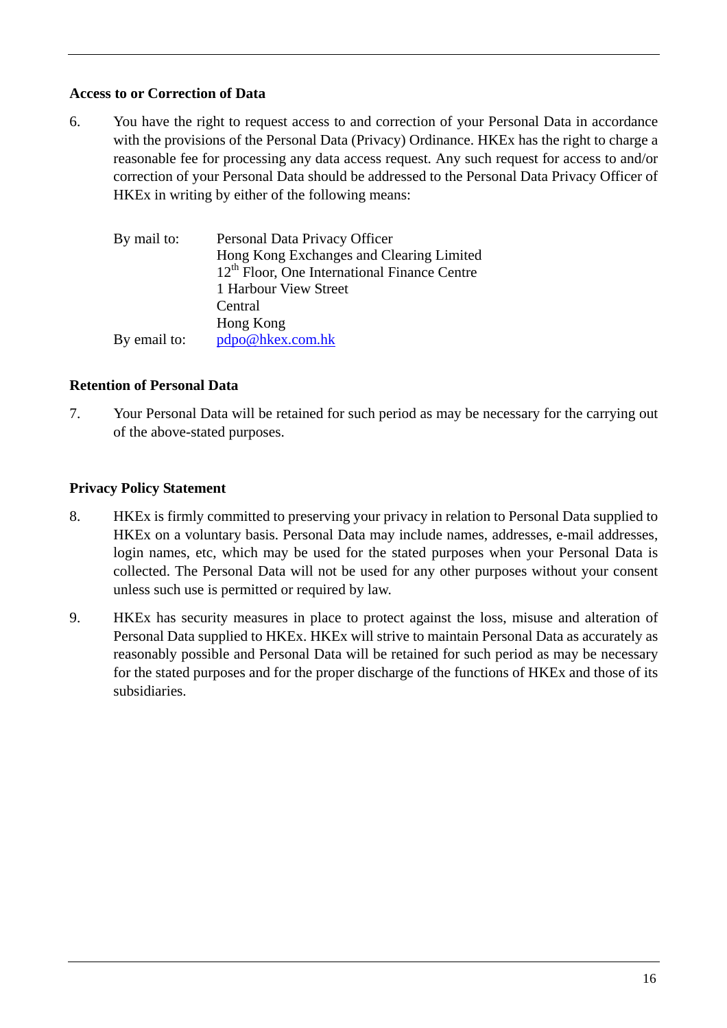#### **Access to or Correction of Data**

6. You have the right to request access to and correction of your Personal Data in accordance with the provisions of the Personal Data (Privacy) Ordinance. HKEx has the right to charge a reasonable fee for processing any data access request. Any such request for access to and/or correction of your Personal Data should be addressed to the Personal Data Privacy Officer of HKEx in writing by either of the following means:

| By mail to:  | Personal Data Privacy Officer<br>Hong Kong Exchanges and Clearing Limited<br>$12th$ Floor, One International Finance Centre |
|--------------|-----------------------------------------------------------------------------------------------------------------------------|
|              | 1 Harbour View Street                                                                                                       |
|              | Central                                                                                                                     |
|              | Hong Kong                                                                                                                   |
| By email to: | pdpo@hkex.com.hk                                                                                                            |

#### **Retention of Personal Data**

7. Your Personal Data will be retained for such period as may be necessary for the carrying out of the above-stated purposes.

#### **Privacy Policy Statement**

- 8. HKEx is firmly committed to preserving your privacy in relation to Personal Data supplied to HKEx on a voluntary basis. Personal Data may include names, addresses, e-mail addresses, login names, etc, which may be used for the stated purposes when your Personal Data is collected. The Personal Data will not be used for any other purposes without your consent unless such use is permitted or required by law.
- 9. HKEx has security measures in place to protect against the loss, misuse and alteration of Personal Data supplied to HKEx. HKEx will strive to maintain Personal Data as accurately as reasonably possible and Personal Data will be retained for such period as may be necessary for the stated purposes and for the proper discharge of the functions of HKEx and those of its subsidiaries.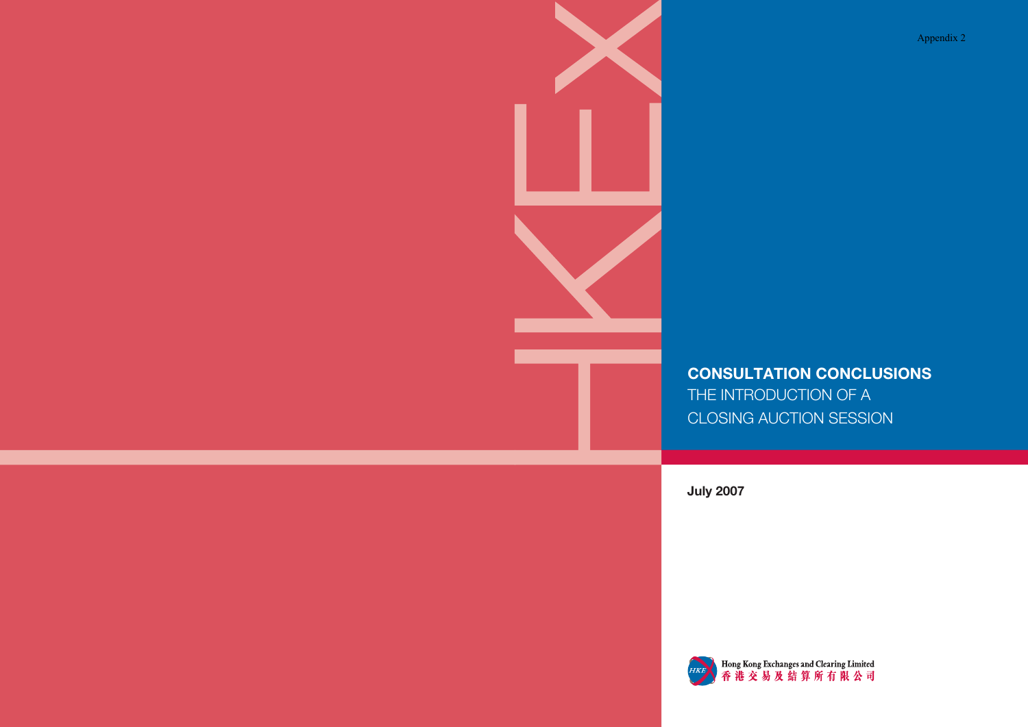Appendix 2

## **CONSULTATION CONCLUSIONS** THE INTRODUCTION OF A CLOSING AUCTION SESSION

**July 2007**



Hong Kong Exchanges and Clearing Limited<br>香港交易及結算所有限公司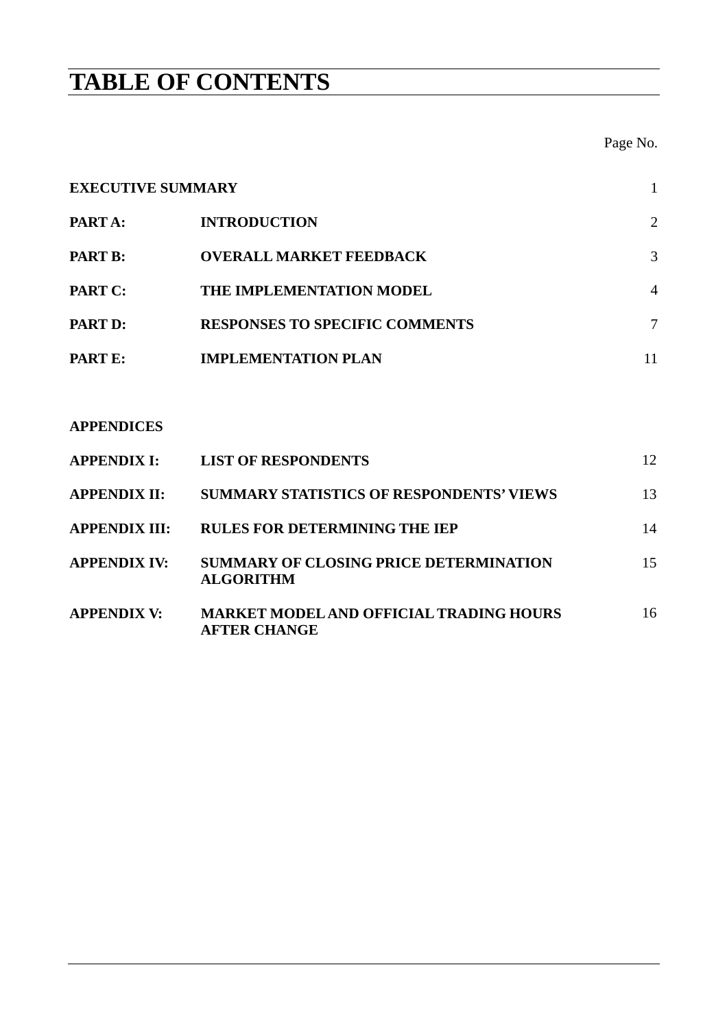## **TABLE OF CONTENTS**

Page No.

# **EXECUTIVE SUMMARY** 1 **PART A:** INTRODUCTION 2 **PART B: OVERALL MARKET FEEDBACK 3 PART C: THE IMPLEMENTATION MODEL 4 PART D: RESPONSES TO SPECIFIC COMMENTS** 7 **PART E: IMPLEMENTATION PLAN** 11

#### **APPENDICES**

| <b>APPENDIX I:</b>   | <b>LIST OF RESPONDENTS</b>                                        | 12 |
|----------------------|-------------------------------------------------------------------|----|
| <b>APPENDIX II:</b>  | <b>SUMMARY STATISTICS OF RESPONDENTS' VIEWS</b>                   | 13 |
| <b>APPENDIX III:</b> | <b>RULES FOR DETERMINING THE IEP</b>                              | 14 |
| <b>APPENDIX IV:</b>  | <b>SUMMARY OF CLOSING PRICE DETERMINATION</b><br><b>ALGORITHM</b> | 15 |
| <b>APPENDIX V:</b>   | <b>MARKET MODEL AND OFFICIAL TRADING HOURS</b><br>AFTER CHANGE    | 16 |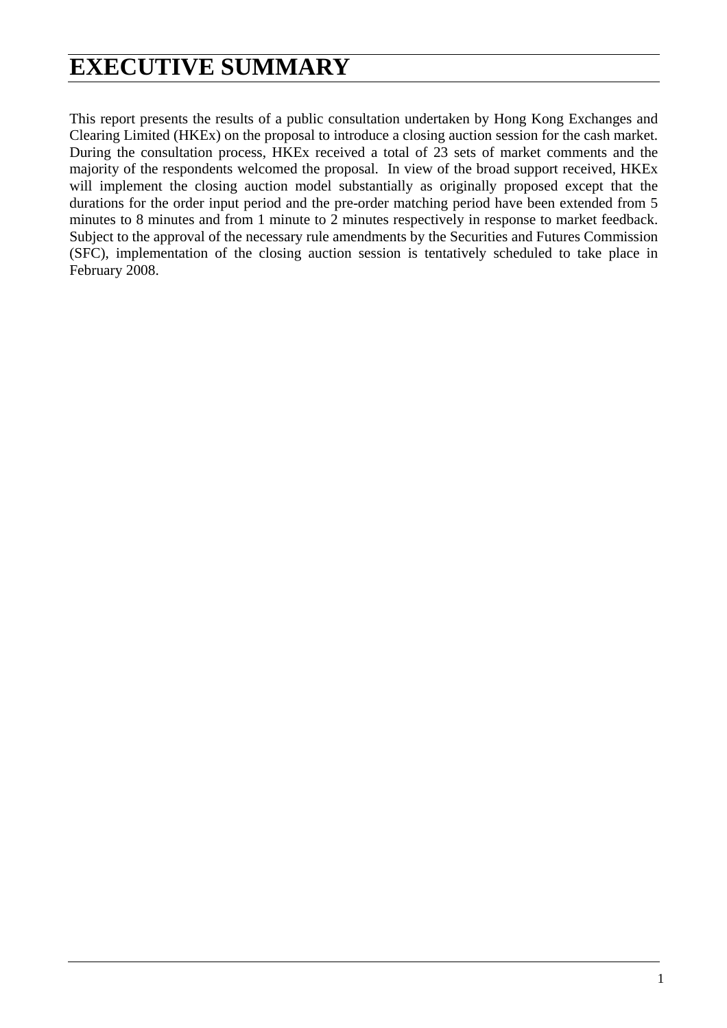## **EXECUTIVE SUMMARY**

This report presents the results of a public consultation undertaken by Hong Kong Exchanges and Clearing Limited (HKEx) on the proposal to introduce a closing auction session for the cash market. During the consultation process, HKEx received a total of 23 sets of market comments and the majority of the respondents welcomed the proposal. In view of the broad support received, HKEx will implement the closing auction model substantially as originally proposed except that the durations for the order input period and the pre-order matching period have been extended from 5 minutes to 8 minutes and from 1 minute to 2 minutes respectively in response to market feedback. Subject to the approval of the necessary rule amendments by the Securities and Futures Commission (SFC), implementation of the closing auction session is tentatively scheduled to take place in February 2008.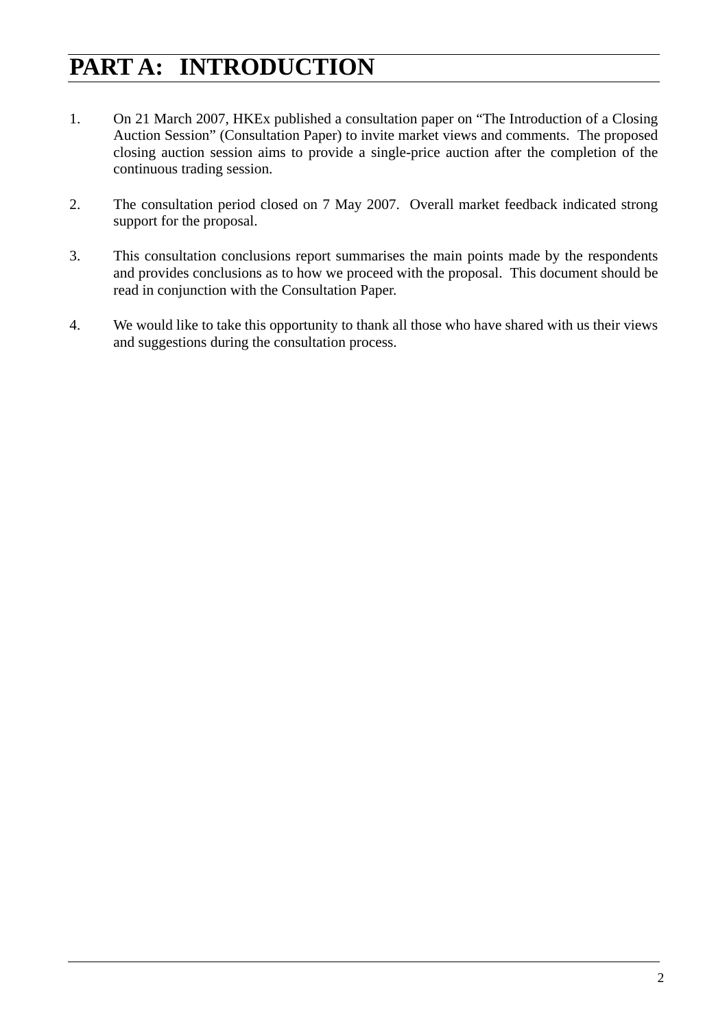## **PART A: INTRODUCTION**

- 1. On 21 March 2007, HKEx published a consultation paper on "The Introduction of a Closing Auction Session" (Consultation Paper) to invite market views and comments. The proposed closing auction session aims to provide a single-price auction after the completion of the continuous trading session.
- 2. The consultation period closed on 7 May 2007. Overall market feedback indicated strong support for the proposal.
- 3. This consultation conclusions report summarises the main points made by the respondents and provides conclusions as to how we proceed with the proposal. This document should be read in conjunction with the Consultation Paper.
- 4. We would like to take this opportunity to thank all those who have shared with us their views and suggestions during the consultation process.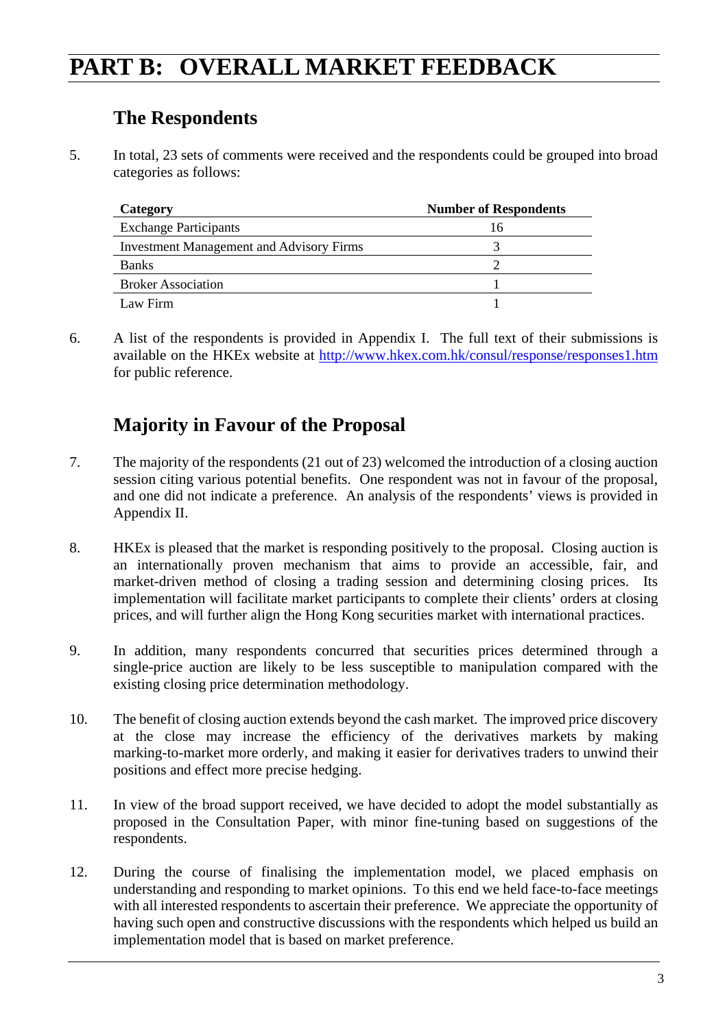## **PART B: OVERALL MARKET FEEDBACK**

### **The Respondents**

5. In total, 23 sets of comments were received and the respondents could be grouped into broad categories as follows:

| Category                                        | <b>Number of Respondents</b> |
|-------------------------------------------------|------------------------------|
| <b>Exchange Participants</b>                    | 16                           |
| <b>Investment Management and Advisory Firms</b> |                              |
| <b>Banks</b>                                    |                              |
| <b>Broker Association</b>                       |                              |
| Law Firm                                        |                              |

6. A list of the respondents is provided in Appendix I. The full text of their submissions is available on the HKEx website at http://www.hkex.com.hk/consul/response/responses1.htm for public reference.

### **Majority in Favour of the Proposal**

- 7. The majority of the respondents (21 out of 23) welcomed the introduction of a closing auction session citing various potential benefits. One respondent was not in favour of the proposal, and one did not indicate a preference. An analysis of the respondents' views is provided in Appendix II.
- 8. HKEx is pleased that the market is responding positively to the proposal. Closing auction is an internationally proven mechanism that aims to provide an accessible, fair, and market-driven method of closing a trading session and determining closing prices. Its implementation will facilitate market participants to complete their clients' orders at closing prices, and will further align the Hong Kong securities market with international practices.
- 9. In addition, many respondents concurred that securities prices determined through a single-price auction are likely to be less susceptible to manipulation compared with the existing closing price determination methodology.
- 10. The benefit of closing auction extends beyond the cash market. The improved price discovery at the close may increase the efficiency of the derivatives markets by making marking-to-market more orderly, and making it easier for derivatives traders to unwind their positions and effect more precise hedging.
- 11. In view of the broad support received, we have decided to adopt the model substantially as proposed in the Consultation Paper, with minor fine-tuning based on suggestions of the respondents.
- 12. During the course of finalising the implementation model, we placed emphasis on understanding and responding to market opinions. To this end we held face-to-face meetings with all interested respondents to ascertain their preference. We appreciate the opportunity of having such open and constructive discussions with the respondents which helped us build an implementation model that is based on market preference.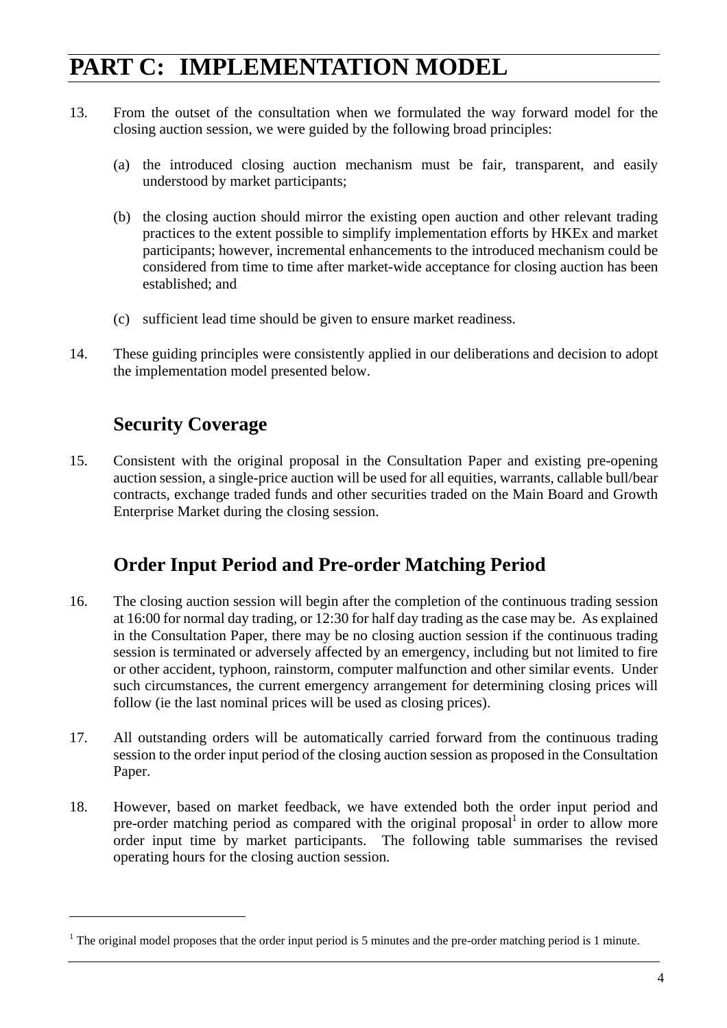## **PART C: IMPLEMENTATION MODEL**

- 13. From the outset of the consultation when we formulated the way forward model for the closing auction session, we were guided by the following broad principles:
	- (a) the introduced closing auction mechanism must be fair, transparent, and easily understood by market participants;
	- (b) the closing auction should mirror the existing open auction and other relevant trading practices to the extent possible to simplify implementation efforts by HKEx and market participants; however, incremental enhancements to the introduced mechanism could be considered from time to time after market-wide acceptance for closing auction has been established; and
	- (c) sufficient lead time should be given to ensure market readiness.
- 14. These guiding principles were consistently applied in our deliberations and decision to adopt the implementation model presented below.

### **Security Coverage**

 $\overline{a}$ 

15. Consistent with the original proposal in the Consultation Paper and existing pre-opening auction session, a single-price auction will be used for all equities, warrants, callable bull/bear contracts, exchange traded funds and other securities traded on the Main Board and Growth Enterprise Market during the closing session.

### **Order Input Period and Pre-order Matching Period**

- 16. The closing auction session will begin after the completion of the continuous trading session at 16:00 for normal day trading, or 12:30 for half day trading as the case may be. As explained in the Consultation Paper, there may be no closing auction session if the continuous trading session is terminated or adversely affected by an emergency, including but not limited to fire or other accident, typhoon, rainstorm, computer malfunction and other similar events. Under such circumstances, the current emergency arrangement for determining closing prices will follow (ie the last nominal prices will be used as closing prices).
- 17. All outstanding orders will be automatically carried forward from the continuous trading session to the order input period of the closing auction session as proposed in the Consultation Paper.
- 18. However, based on market feedback, we have extended both the order input period and pre-order matching period as compared with the original proposal $1$  in order to allow more order input time by market participants. The following table summarises the revised operating hours for the closing auction session.

<sup>&</sup>lt;sup>1</sup> The original model proposes that the order input period is 5 minutes and the pre-order matching period is 1 minute.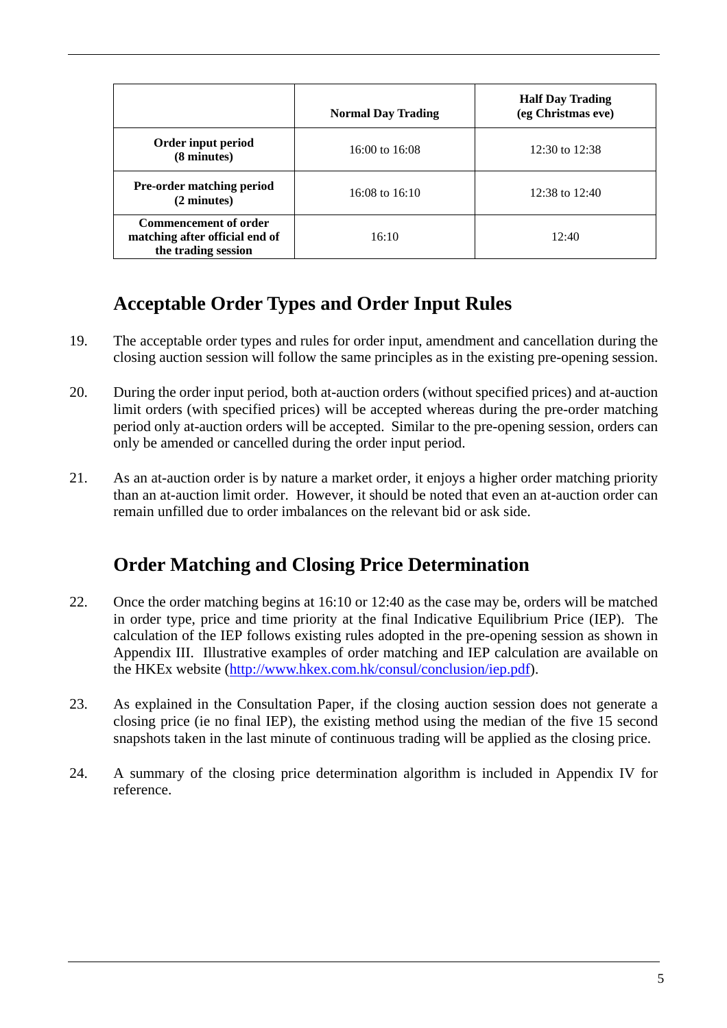|                                                                                       | <b>Normal Day Trading</b> | <b>Half Day Trading</b><br>(eg Christmas eve) |
|---------------------------------------------------------------------------------------|---------------------------|-----------------------------------------------|
| Order input period<br>(8 minutes)                                                     | $16:00$ to $16:08$        | 12:30 to $12:38$                              |
| <b>Pre-order matching period</b><br>(2 minutes)                                       | $16:08$ to $16:10$        | $12:38$ to $12:40$                            |
| <b>Commencement of order</b><br>matching after official end of<br>the trading session | 16:10                     | 12:40                                         |

## **Acceptable Order Types and Order Input Rules**

- 19. The acceptable order types and rules for order input, amendment and cancellation during the closing auction session will follow the same principles as in the existing pre-opening session.
- 20. During the order input period, both at-auction orders (without specified prices) and at-auction limit orders (with specified prices) will be accepted whereas during the pre-order matching period only at-auction orders will be accepted. Similar to the pre-opening session, orders can only be amended or cancelled during the order input period.
- 21. As an at-auction order is by nature a market order, it enjoys a higher order matching priority than an at-auction limit order. However, it should be noted that even an at-auction order can remain unfilled due to order imbalances on the relevant bid or ask side.

## **Order Matching and Closing Price Determination**

- 22. Once the order matching begins at 16:10 or 12:40 as the case may be, orders will be matched in order type, price and time priority at the final Indicative Equilibrium Price (IEP). The calculation of the IEP follows existing rules adopted in the pre-opening session as shown in Appendix III. Illustrative examples of order matching and IEP calculation are available on the HKEx website (http://www.hkex.com.hk/consul/conclusion/iep.pdf).
- 23. As explained in the Consultation Paper, if the closing auction session does not generate a closing price (ie no final IEP), the existing method using the median of the five 15 second snapshots taken in the last minute of continuous trading will be applied as the closing price.
- 24. A summary of the closing price determination algorithm is included in Appendix IV for reference.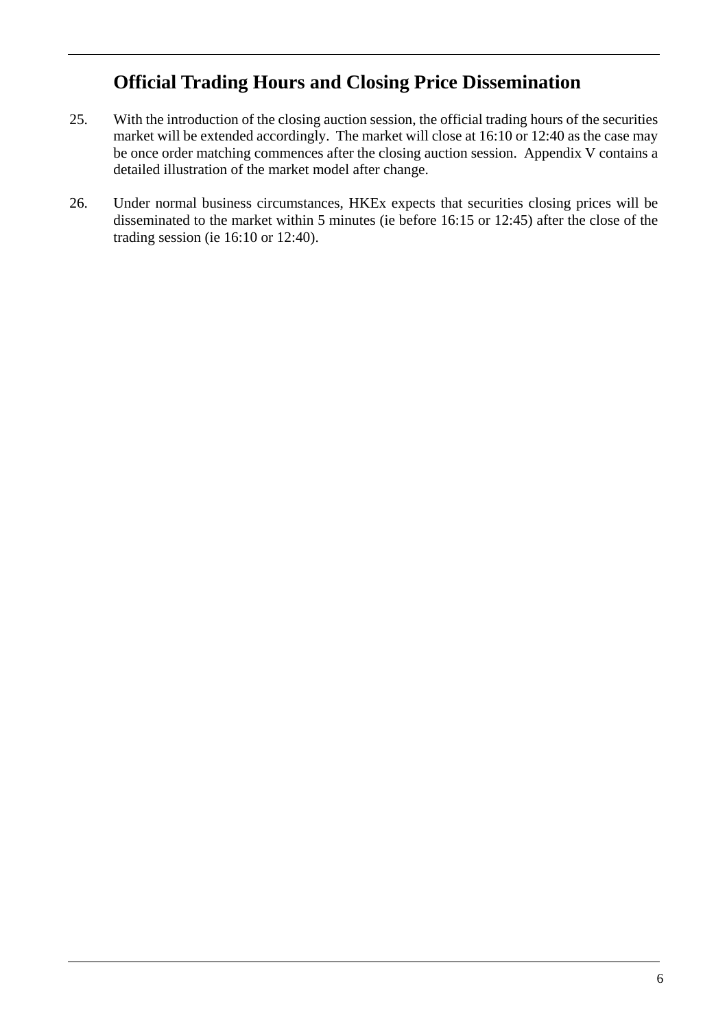### **Official Trading Hours and Closing Price Dissemination**

- 25. With the introduction of the closing auction session, the official trading hours of the securities market will be extended accordingly. The market will close at 16:10 or 12:40 as the case may be once order matching commences after the closing auction session. Appendix V contains a detailed illustration of the market model after change.
- 26. Under normal business circumstances, HKEx expects that securities closing prices will be disseminated to the market within 5 minutes (ie before 16:15 or 12:45) after the close of the trading session (ie 16:10 or 12:40).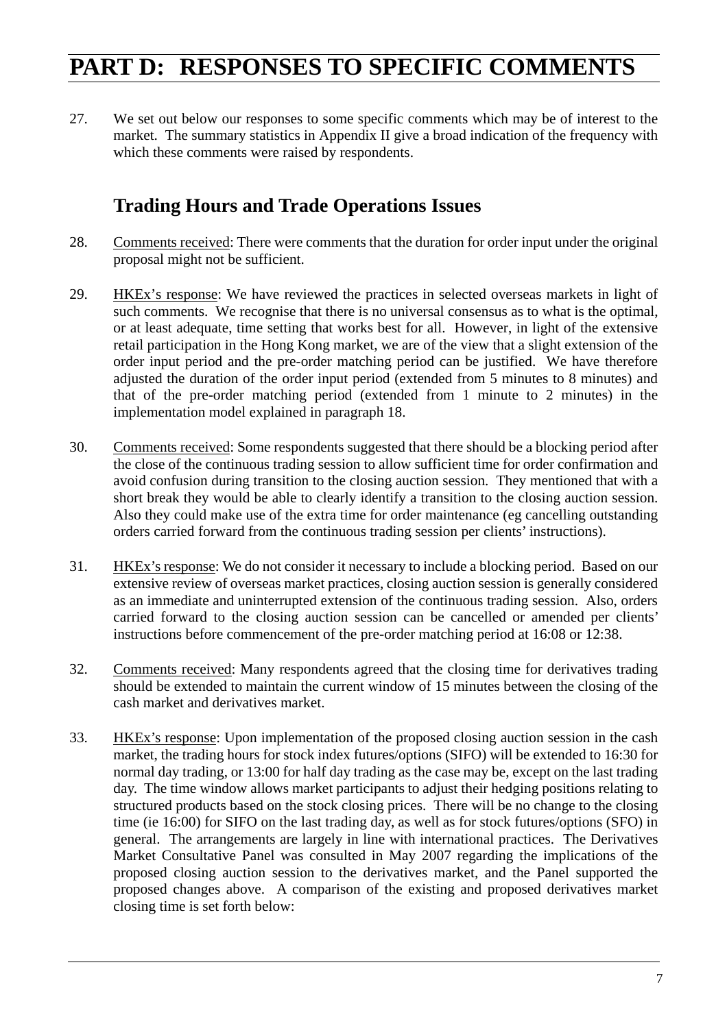## **PART D: RESPONSES TO SPECIFIC COMMENTS**

27. We set out below our responses to some specific comments which may be of interest to the market. The summary statistics in Appendix II give a broad indication of the frequency with which these comments were raised by respondents.

### **Trading Hours and Trade Operations Issues**

- 28. Comments received: There were comments that the duration for order input under the original proposal might not be sufficient.
- 29. HKEx's response: We have reviewed the practices in selected overseas markets in light of such comments. We recognise that there is no universal consensus as to what is the optimal, or at least adequate, time setting that works best for all. However, in light of the extensive retail participation in the Hong Kong market, we are of the view that a slight extension of the order input period and the pre-order matching period can be justified. We have therefore adjusted the duration of the order input period (extended from 5 minutes to 8 minutes) and that of the pre-order matching period (extended from 1 minute to 2 minutes) in the implementation model explained in paragraph 18.
- 30. Comments received: Some respondents suggested that there should be a blocking period after the close of the continuous trading session to allow sufficient time for order confirmation and avoid confusion during transition to the closing auction session. They mentioned that with a short break they would be able to clearly identify a transition to the closing auction session. Also they could make use of the extra time for order maintenance (eg cancelling outstanding orders carried forward from the continuous trading session per clients' instructions).
- 31. HKEx's response: We do not consider it necessary to include a blocking period. Based on our extensive review of overseas market practices, closing auction session is generally considered as an immediate and uninterrupted extension of the continuous trading session. Also, orders carried forward to the closing auction session can be cancelled or amended per clients' instructions before commencement of the pre-order matching period at 16:08 or 12:38.
- 32. Comments received: Many respondents agreed that the closing time for derivatives trading should be extended to maintain the current window of 15 minutes between the closing of the cash market and derivatives market.
- 33. HKEx's response: Upon implementation of the proposed closing auction session in the cash market, the trading hours for stock index futures/options (SIFO) will be extended to 16:30 for normal day trading, or 13:00 for half day trading as the case may be, except on the last trading day. The time window allows market participants to adjust their hedging positions relating to structured products based on the stock closing prices. There will be no change to the closing time (ie 16:00) for SIFO on the last trading day, as well as for stock futures/options (SFO) in general. The arrangements are largely in line with international practices. The Derivatives Market Consultative Panel was consulted in May 2007 regarding the implications of the proposed closing auction session to the derivatives market, and the Panel supported the proposed changes above. A comparison of the existing and proposed derivatives market closing time is set forth below: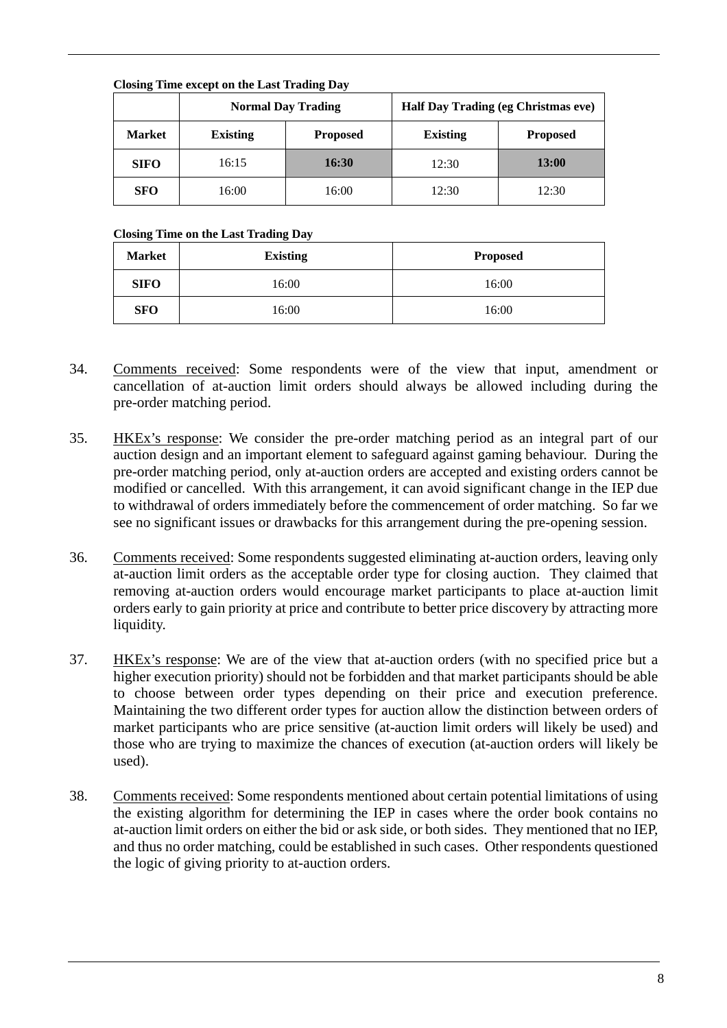|               |                                    | Crosing Time except on the Last Trading Day<br><b>Normal Day Trading</b> |                 | Half Day Trading (eg Christmas eve) |
|---------------|------------------------------------|--------------------------------------------------------------------------|-----------------|-------------------------------------|
| <b>Market</b> | <b>Existing</b><br><b>Proposed</b> |                                                                          | <b>Existing</b> | <b>Proposed</b>                     |
| <b>SIFO</b>   | 16:15                              | 16:30                                                                    | 12:30           | <b>13:00</b>                        |
| <b>SFO</b>    | 16:00                              | 16:00                                                                    | 12:30           | 12:30                               |

#### **Closing Time except on the Last Trading Day**

#### **Closing Time on the Last Trading Day**

| <b>Market</b> | <b>Existing</b> | <b>Proposed</b> |
|---------------|-----------------|-----------------|
| <b>SIFO</b>   | 16:00           | 16:00           |
| <b>SFO</b>    | 16:00           | 16:00           |

- 34. Comments received: Some respondents were of the view that input, amendment or cancellation of at-auction limit orders should always be allowed including during the pre-order matching period.
- 35. HKEx's response: We consider the pre-order matching period as an integral part of our auction design and an important element to safeguard against gaming behaviour. During the pre-order matching period, only at-auction orders are accepted and existing orders cannot be modified or cancelled. With this arrangement, it can avoid significant change in the IEP due to withdrawal of orders immediately before the commencement of order matching. So far we see no significant issues or drawbacks for this arrangement during the pre-opening session.
- 36. Comments received: Some respondents suggested eliminating at-auction orders, leaving only at-auction limit orders as the acceptable order type for closing auction. They claimed that removing at-auction orders would encourage market participants to place at-auction limit orders early to gain priority at price and contribute to better price discovery by attracting more liquidity.
- 37. HKEx's response: We are of the view that at-auction orders (with no specified price but a higher execution priority) should not be forbidden and that market participants should be able to choose between order types depending on their price and execution preference. Maintaining the two different order types for auction allow the distinction between orders of market participants who are price sensitive (at-auction limit orders will likely be used) and those who are trying to maximize the chances of execution (at-auction orders will likely be used).
- 38. Comments received: Some respondents mentioned about certain potential limitations of using the existing algorithm for determining the IEP in cases where the order book contains no at-auction limit orders on either the bid or ask side, or both sides. They mentioned that no IEP, and thus no order matching, could be established in such cases. Other respondents questioned the logic of giving priority to at-auction orders.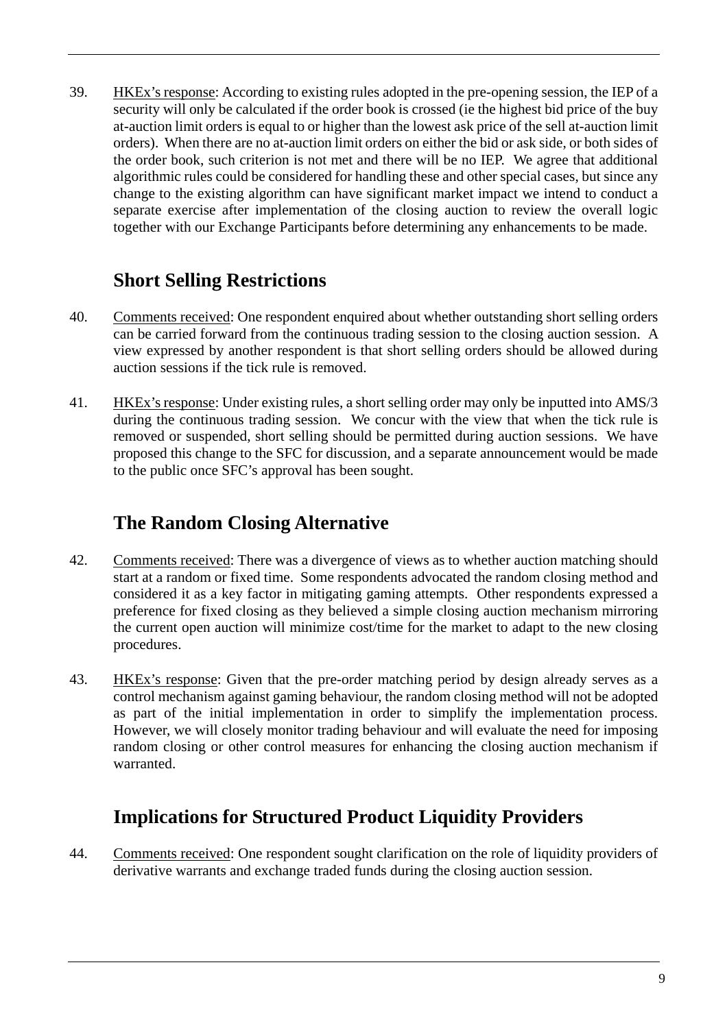39. HKEx's response: According to existing rules adopted in the pre-opening session, the IEP of a security will only be calculated if the order book is crossed (ie the highest bid price of the buy at-auction limit orders is equal to or higher than the lowest ask price of the sell at-auction limit orders). When there are no at-auction limit orders on either the bid or ask side, or both sides of the order book, such criterion is not met and there will be no IEP. We agree that additional algorithmic rules could be considered for handling these and other special cases, but since any change to the existing algorithm can have significant market impact we intend to conduct a separate exercise after implementation of the closing auction to review the overall logic together with our Exchange Participants before determining any enhancements to be made.

### **Short Selling Restrictions**

- 40. Comments received: One respondent enquired about whether outstanding short selling orders can be carried forward from the continuous trading session to the closing auction session. A view expressed by another respondent is that short selling orders should be allowed during auction sessions if the tick rule is removed.
- 41. HKEx's response: Under existing rules, a short selling order may only be inputted into AMS/3 during the continuous trading session. We concur with the view that when the tick rule is removed or suspended, short selling should be permitted during auction sessions. We have proposed this change to the SFC for discussion, and a separate announcement would be made to the public once SFC's approval has been sought.

## **The Random Closing Alternative**

- 42. Comments received: There was a divergence of views as to whether auction matching should start at a random or fixed time. Some respondents advocated the random closing method and considered it as a key factor in mitigating gaming attempts. Other respondents expressed a preference for fixed closing as they believed a simple closing auction mechanism mirroring the current open auction will minimize cost/time for the market to adapt to the new closing procedures.
- 43. HKEx's response: Given that the pre-order matching period by design already serves as a control mechanism against gaming behaviour, the random closing method will not be adopted as part of the initial implementation in order to simplify the implementation process. However, we will closely monitor trading behaviour and will evaluate the need for imposing random closing or other control measures for enhancing the closing auction mechanism if warranted.

## **Implications for Structured Product Liquidity Providers**

44. Comments received: One respondent sought clarification on the role of liquidity providers of derivative warrants and exchange traded funds during the closing auction session.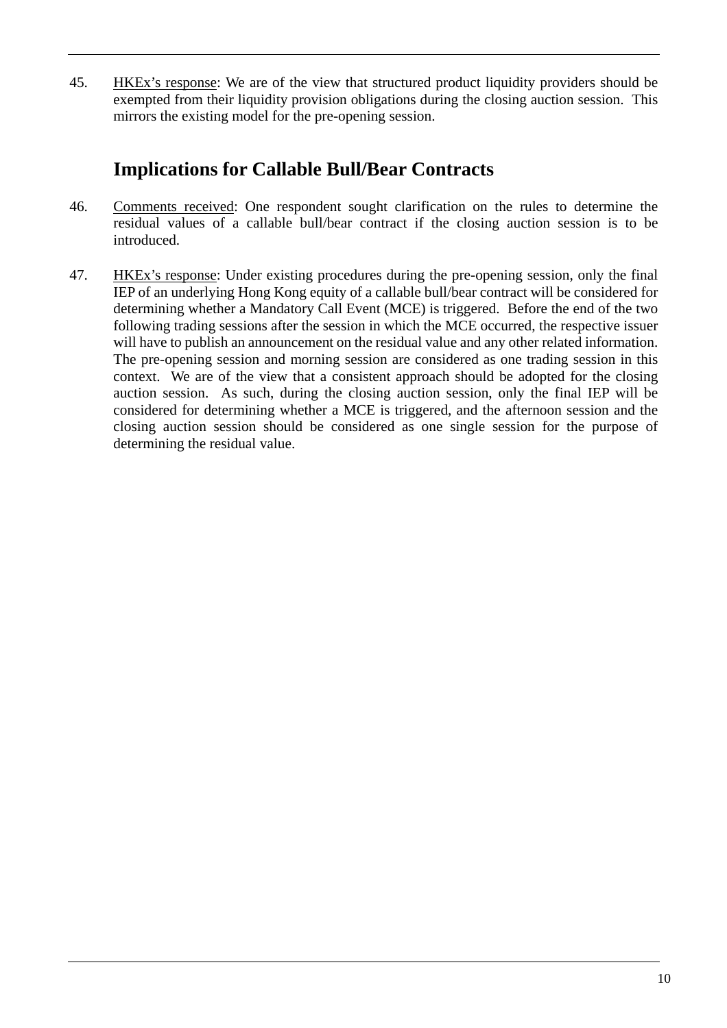45. HKEx's response: We are of the view that structured product liquidity providers should be exempted from their liquidity provision obligations during the closing auction session. This mirrors the existing model for the pre-opening session.

### **Implications for Callable Bull/Bear Contracts**

- 46. Comments received: One respondent sought clarification on the rules to determine the residual values of a callable bull/bear contract if the closing auction session is to be introduced.
- 47. HKEx's response: Under existing procedures during the pre-opening session, only the final IEP of an underlying Hong Kong equity of a callable bull/bear contract will be considered for determining whether a Mandatory Call Event (MCE) is triggered. Before the end of the two following trading sessions after the session in which the MCE occurred, the respective issuer will have to publish an announcement on the residual value and any other related information. The pre-opening session and morning session are considered as one trading session in this context. We are of the view that a consistent approach should be adopted for the closing auction session. As such, during the closing auction session, only the final IEP will be considered for determining whether a MCE is triggered, and the afternoon session and the closing auction session should be considered as one single session for the purpose of determining the residual value.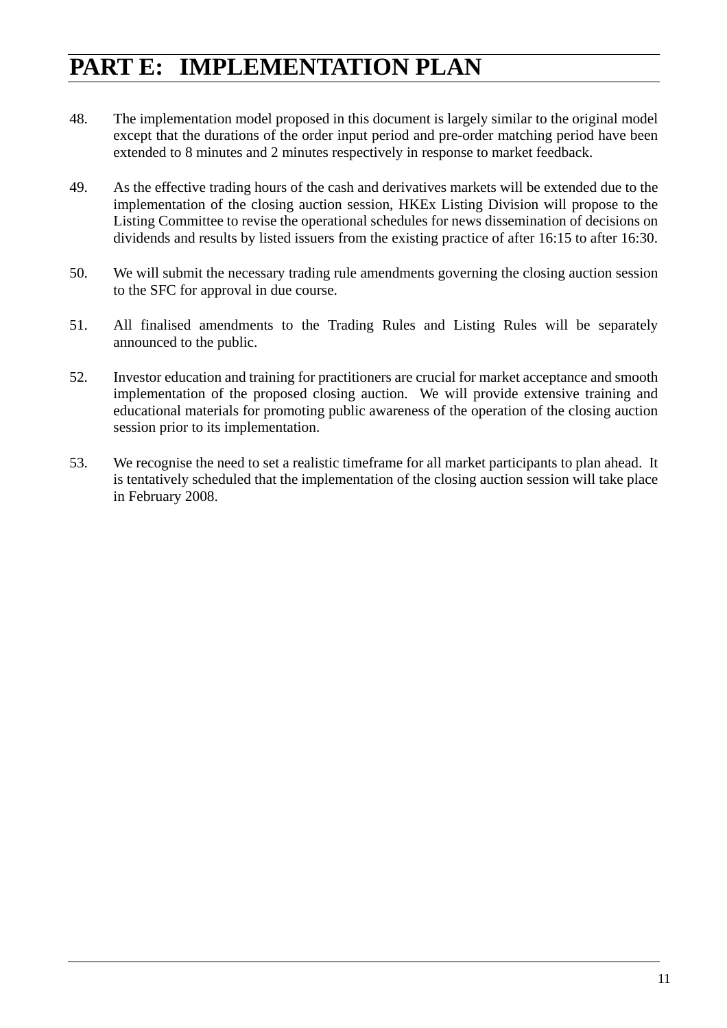## **PART E: IMPLEMENTATION PLAN**

- 48. The implementation model proposed in this document is largely similar to the original model except that the durations of the order input period and pre-order matching period have been extended to 8 minutes and 2 minutes respectively in response to market feedback.
- 49. As the effective trading hours of the cash and derivatives markets will be extended due to the implementation of the closing auction session, HKEx Listing Division will propose to the Listing Committee to revise the operational schedules for news dissemination of decisions on dividends and results by listed issuers from the existing practice of after 16:15 to after 16:30.
- 50. We will submit the necessary trading rule amendments governing the closing auction session to the SFC for approval in due course.
- 51. All finalised amendments to the Trading Rules and Listing Rules will be separately announced to the public.
- 52. Investor education and training for practitioners are crucial for market acceptance and smooth implementation of the proposed closing auction. We will provide extensive training and educational materials for promoting public awareness of the operation of the closing auction session prior to its implementation.
- 53. We recognise the need to set a realistic timeframe for all market participants to plan ahead. It is tentatively scheduled that the implementation of the closing auction session will take place in February 2008.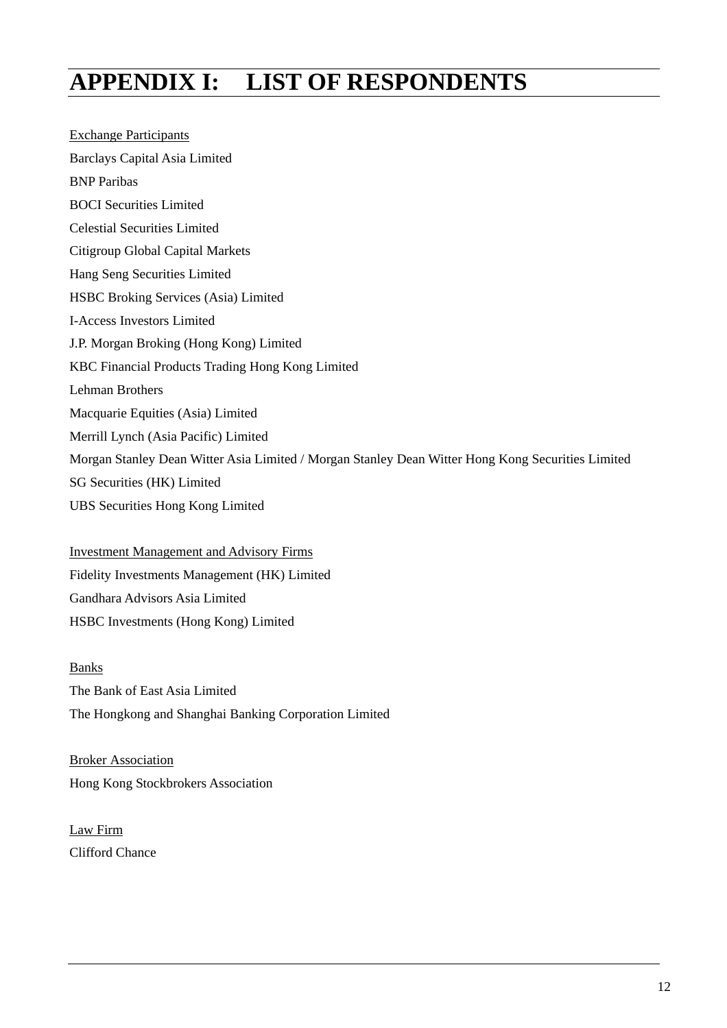## **APPENDIX I: LIST OF RESPONDENTS**

Exchange Participants Barclays Capital Asia Limited BNP Paribas BOCI Securities Limited Celestial Securities Limited Citigroup Global Capital Markets Hang Seng Securities Limited HSBC Broking Services (Asia) Limited I-Access Investors Limited J.P. Morgan Broking (Hong Kong) Limited KBC Financial Products Trading Hong Kong Limited Lehman Brothers Macquarie Equities (Asia) Limited Merrill Lynch (Asia Pacific) Limited Morgan Stanley Dean Witter Asia Limited / Morgan Stanley Dean Witter Hong Kong Securities Limited SG Securities (HK) Limited UBS Securities Hong Kong Limited

Investment Management and Advisory Firms Fidelity Investments Management (HK) Limited Gandhara Advisors Asia Limited HSBC Investments (Hong Kong) Limited

Banks The Bank of East Asia Limited The Hongkong and Shanghai Banking Corporation Limited

Broker Association Hong Kong Stockbrokers Association

Law Firm Clifford Chance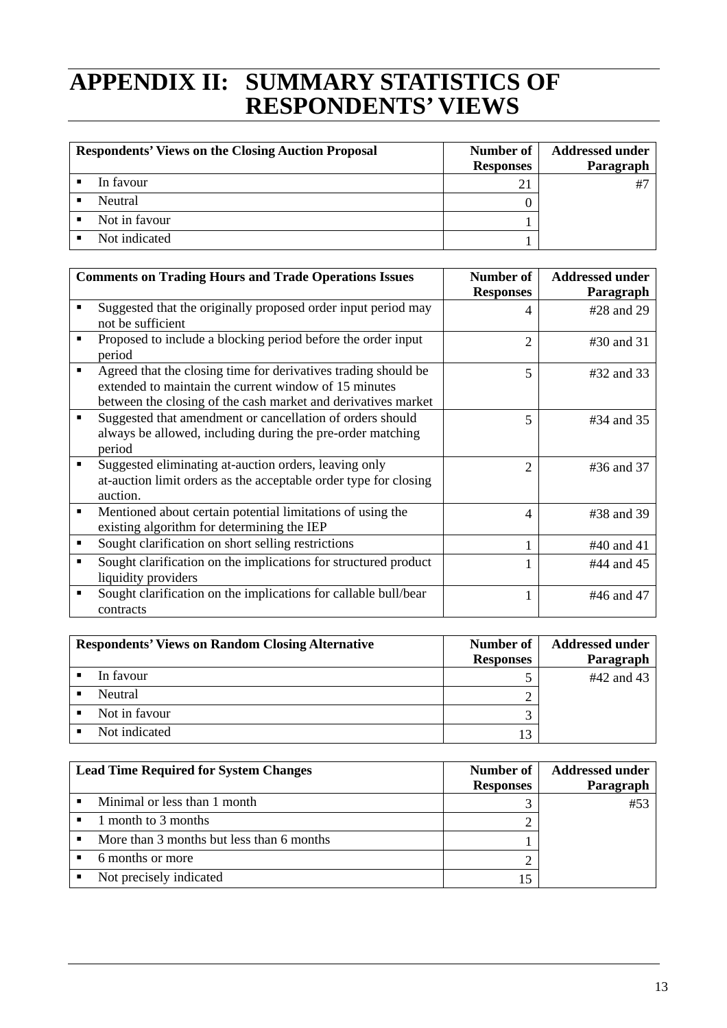## **APPENDIX II: SUMMARY STATISTICS OF RESPONDENTS' VIEWS**

| <b>Respondents' Views on the Closing Auction Proposal</b> | Number of<br><b>Responses</b> | <b>Addressed under</b><br>Paragraph |
|-----------------------------------------------------------|-------------------------------|-------------------------------------|
| In favour                                                 | 21                            |                                     |
| Neutral                                                   |                               |                                     |
| Not in favour                                             |                               |                                     |
| Not indicated                                             |                               |                                     |

|   | <b>Comments on Trading Hours and Trade Operations Issues</b>                                                                                                                             | Number of        | <b>Addressed under</b> |
|---|------------------------------------------------------------------------------------------------------------------------------------------------------------------------------------------|------------------|------------------------|
|   |                                                                                                                                                                                          | <b>Responses</b> | Paragraph              |
|   | Suggested that the originally proposed order input period may<br>not be sufficient                                                                                                       | 4                | #28 and 29             |
|   | Proposed to include a blocking period before the order input<br>period                                                                                                                   | $\overline{2}$   | #30 and 31             |
|   | Agreed that the closing time for derivatives trading should be<br>extended to maintain the current window of 15 minutes<br>between the closing of the cash market and derivatives market | 5                | #32 and 33             |
|   | Suggested that amendment or cancellation of orders should<br>always be allowed, including during the pre-order matching<br>period                                                        | 5                | #34 and 35             |
|   | Suggested eliminating at-auction orders, leaving only<br>at-auction limit orders as the acceptable order type for closing<br>auction.                                                    | $\mathfrak{D}$   | #36 and 37             |
| ■ | Mentioned about certain potential limitations of using the<br>existing algorithm for determining the IEP                                                                                 | 4                | #38 and 39             |
| п | Sought clarification on short selling restrictions                                                                                                                                       |                  | #40 and 41             |
| ■ | Sought clarification on the implications for structured product<br>liquidity providers                                                                                                   |                  | #44 and 45             |
|   | Sought clarification on the implications for callable bull/bear<br>contracts                                                                                                             |                  | #46 and 47             |

| <b>Respondents' Views on Random Closing Alternative</b> | Number of<br><b>Responses</b> | <b>Addressed under</b><br>Paragraph |
|---------------------------------------------------------|-------------------------------|-------------------------------------|
| In favour                                               |                               | #42 and 43                          |
| Neutral                                                 |                               |                                     |
| Not in favour                                           |                               |                                     |
| Not indicated                                           | 3                             |                                     |

| <b>Lead Time Required for System Changes</b> | Number of        | <b>Addressed under</b> |
|----------------------------------------------|------------------|------------------------|
|                                              | <b>Responses</b> | Paragraph              |
| Minimal or less than 1 month                 |                  | $#5^{\circ}$           |
| 1 month to 3 months                          |                  |                        |
| More than 3 months but less than 6 months    |                  |                        |
| 6 months or more                             |                  |                        |
| Not precisely indicated                      |                  |                        |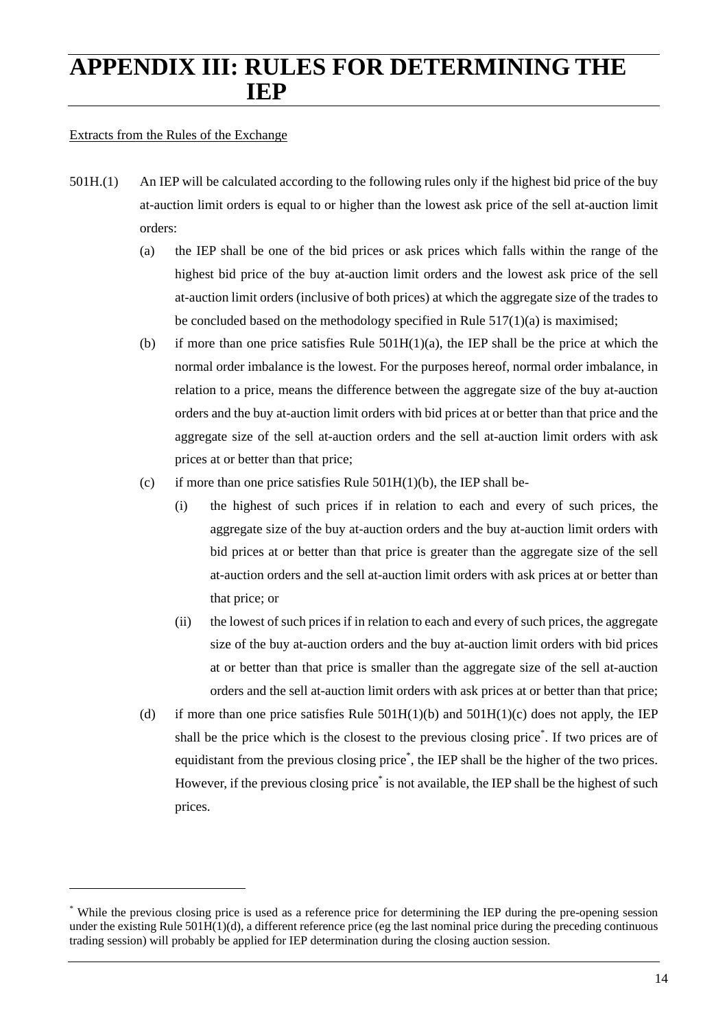## **APPENDIX III: RULES FOR DETERMINING THE IEP**

#### Extracts from the Rules of the Exchange

- 501H.(1) An IEP will be calculated according to the following rules only if the highest bid price of the buy at-auction limit orders is equal to or higher than the lowest ask price of the sell at-auction limit orders:
	- (a) the IEP shall be one of the bid prices or ask prices which falls within the range of the highest bid price of the buy at-auction limit orders and the lowest ask price of the sell at-auction limit orders (inclusive of both prices) at which the aggregate size of the trades to be concluded based on the methodology specified in Rule 517(1)(a) is maximised;
	- (b) if more than one price satisfies Rule  $501H(1)(a)$ , the IEP shall be the price at which the normal order imbalance is the lowest. For the purposes hereof, normal order imbalance, in relation to a price, means the difference between the aggregate size of the buy at-auction orders and the buy at-auction limit orders with bid prices at or better than that price and the aggregate size of the sell at-auction orders and the sell at-auction limit orders with ask prices at or better than that price;
	- (c) if more than one price satisfies Rule  $501H(1)(b)$ , the IEP shall be-
		- (i) the highest of such prices if in relation to each and every of such prices, the aggregate size of the buy at-auction orders and the buy at-auction limit orders with bid prices at or better than that price is greater than the aggregate size of the sell at-auction orders and the sell at-auction limit orders with ask prices at or better than that price; or
		- (ii) the lowest of such prices if in relation to each and every of such prices, the aggregate size of the buy at-auction orders and the buy at-auction limit orders with bid prices at or better than that price is smaller than the aggregate size of the sell at-auction orders and the sell at-auction limit orders with ask prices at or better than that price;
	- (d) if more than one price satisfies Rule  $501H(1)(b)$  and  $501H(1)(c)$  does not apply, the IEP shall be the price which is the closest to the previous closing price\* . If two prices are of equidistant from the previous closing price<sup>\*</sup>, the IEP shall be the higher of the two prices. However, if the previous closing price<sup>\*</sup> is not available, the IEP shall be the highest of such prices.

<sup>\*</sup> While the previous closing price is used as a reference price for determining the IEP during the pre-opening session under the existing Rule 501H(1)(d), a different reference price (eg the last nominal price during the preceding continuous trading session) will probably be applied for IEP determination during the closing auction session.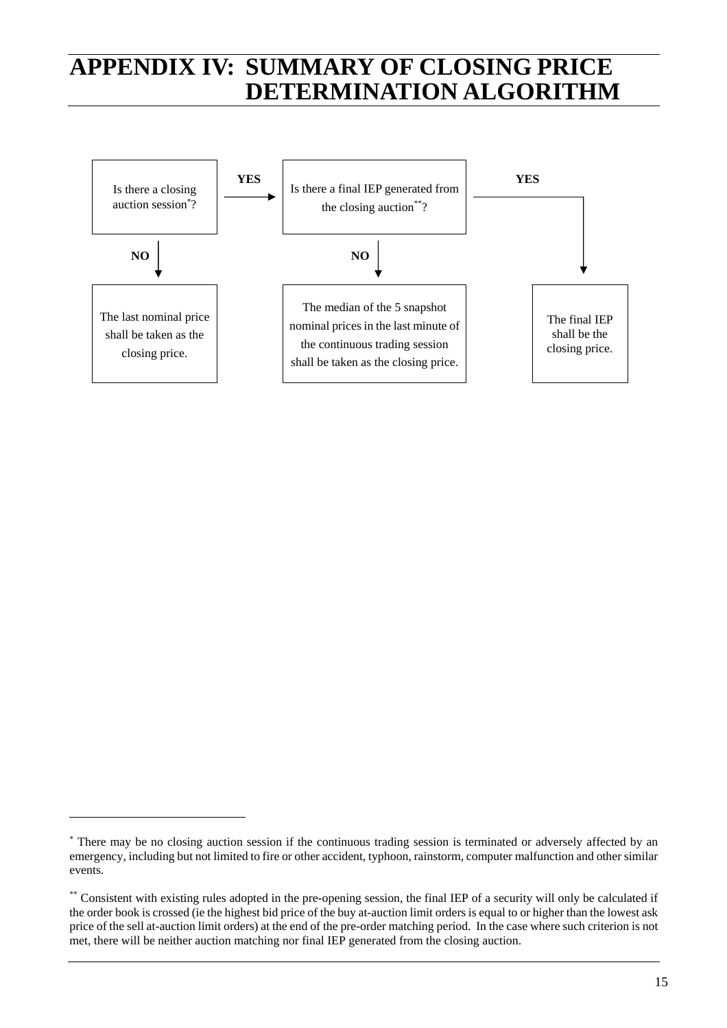## **APPENDIX IV: SUMMARY OF CLOSING PRICE DETERMINATION ALGORITHM**



<sup>∗</sup> There may be no closing auction session if the continuous trading session is terminated or adversely affected by an emergency, including but not limited to fire or other accident, typhoon, rainstorm, computer malfunction and other similar events.

<sup>\*\*</sup> Consistent with existing rules adopted in the pre-opening session, the final IEP of a security will only be calculated if the order book is crossed (ie the highest bid price of the buy at-auction limit orders is equal to or higher than the lowest ask price of the sell at-auction limit orders) at the end of the pre-order matching period. In the case where such criterion is not met, there will be neither auction matching nor final IEP generated from the closing auction.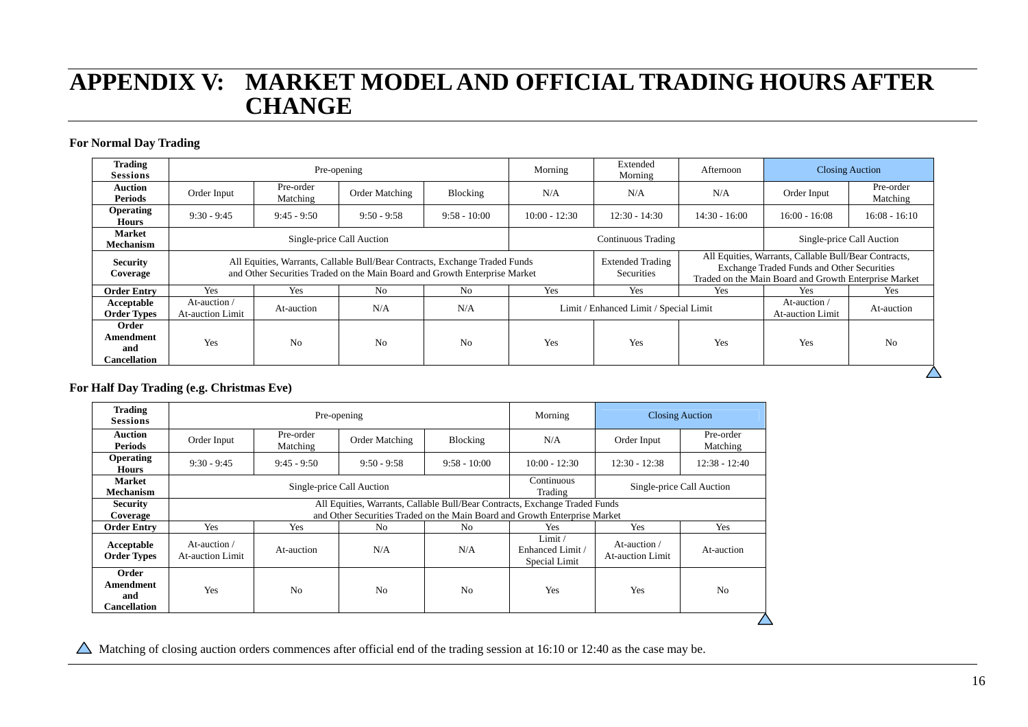## **APPENDIX V: MARKET MODEL AND OFFICIAL TRADING HOURS AFTER CHANGE**

#### **For Normal Day Trading**

| <b>Trading</b><br><b>Sessions</b>                |                                                                                                                                                           |                                                                                                           | Pre-opening               |                 | Morning                                | Extended<br>Morning                          | <b>Closing Auction</b><br>Afternoon |                                         |                                                                                                                                                              |  |  |
|--------------------------------------------------|-----------------------------------------------------------------------------------------------------------------------------------------------------------|-----------------------------------------------------------------------------------------------------------|---------------------------|-----------------|----------------------------------------|----------------------------------------------|-------------------------------------|-----------------------------------------|--------------------------------------------------------------------------------------------------------------------------------------------------------------|--|--|
| <b>Auction</b><br><b>Periods</b>                 | Pre-order<br>Order Input<br>Order Matching<br>Blocking<br>N/A<br>N/A<br>Matching                                                                          |                                                                                                           | N/A                       | Order Input     | Pre-order<br>Matching                  |                                              |                                     |                                         |                                                                                                                                                              |  |  |
| <b>Operating</b><br><b>Hours</b>                 | $9:30 - 9:45$                                                                                                                                             | $9:58 - 10:00$<br>$10:00 - 12:30$<br>$12:30 - 14:30$<br>$14:30 - 16:00$<br>$9:45 - 9:50$<br>$9:50 - 9:58$ |                           | $16:00 - 16:08$ | $16:08 - 16:10$                        |                                              |                                     |                                         |                                                                                                                                                              |  |  |
| <b>Market</b><br>Mechanism                       |                                                                                                                                                           |                                                                                                           | Single-price Call Auction |                 | <b>Continuous Trading</b>              |                                              |                                     | Single-price Call Auction               |                                                                                                                                                              |  |  |
| <b>Security</b><br>Coverage                      | All Equities, Warrants, Callable Bull/Bear Contracts, Exchange Traded Funds<br>and Other Securities Traded on the Main Board and Growth Enterprise Market |                                                                                                           |                           |                 |                                        | <b>Extended Trading</b><br><b>Securities</b> |                                     |                                         | All Equities, Warrants, Callable Bull/Bear Contracts,<br>Exchange Traded Funds and Other Securities<br>Traded on the Main Board and Growth Enterprise Market |  |  |
| <b>Order Entry</b>                               | Yes                                                                                                                                                       | Yes                                                                                                       | No                        | N <sub>0</sub>  | Yes<br>Yes<br>Yes                      |                                              |                                     | Yes                                     | Yes                                                                                                                                                          |  |  |
| Acceptable<br><b>Order Types</b>                 | At-auction /<br>At-auction Limit                                                                                                                          | At-auction                                                                                                | N/A                       | N/A             | Limit / Enhanced Limit / Special Limit |                                              |                                     | At-auction /<br><b>At-auction Limit</b> | At-auction                                                                                                                                                   |  |  |
| Order<br>Amendment<br>and<br><b>Cancellation</b> | Yes                                                                                                                                                       | No                                                                                                        | No                        | N <sub>0</sub>  | Yes<br>Yes<br><b>Yes</b>               |                                              | Yes                                 | N <sub>0</sub>                          |                                                                                                                                                              |  |  |
|                                                  |                                                                                                                                                           |                                                                                                           |                           |                 |                                        |                                              |                                     |                                         |                                                                                                                                                              |  |  |

#### **For Half Day Trading (e.g. Christmas Eve)**

| <b>Trading</b><br><b>Sessions</b>                |                                                                                                                                                           |                                | Pre-opening               | Morning               | <b>Closing Auction</b>                      |                                         |                       |
|--------------------------------------------------|-----------------------------------------------------------------------------------------------------------------------------------------------------------|--------------------------------|---------------------------|-----------------------|---------------------------------------------|-----------------------------------------|-----------------------|
| <b>Auction</b><br><b>Periods</b>                 | Pre-order<br>Order Input<br>Matching                                                                                                                      |                                | Order Matching            | Blocking              | N/A                                         | Order Input                             | Pre-order<br>Matching |
| <b>Operating</b><br><b>Hours</b>                 | $9:30 - 9:45$                                                                                                                                             | $9:45 - 9:50$<br>$9:50 - 9:58$ |                           | $9:58 - 10:00$        | $10:00 - 12:30$                             | $12:30 - 12:38$                         | $12:38 - 12:40$       |
| <b>Market</b><br><b>Mechanism</b>                |                                                                                                                                                           |                                | Single-price Call Auction | Continuous<br>Trading | Single-price Call Auction                   |                                         |                       |
| <b>Security</b><br>Coverage                      | All Equities, Warrants, Callable Bull/Bear Contracts, Exchange Traded Funds<br>and Other Securities Traded on the Main Board and Growth Enterprise Market |                                |                           |                       |                                             |                                         |                       |
| <b>Order Entry</b>                               | Yes<br>Yes<br>No.<br>No.                                                                                                                                  |                                |                           |                       | Yes                                         | Yes                                     | Yes                   |
| Acceptable<br><b>Order Types</b>                 | At-auction /<br>At-auction<br><b>At-auction Limit</b>                                                                                                     |                                | N/A<br>N/A                |                       | Limit/<br>Enhanced Limit /<br>Special Limit | At-auction /<br><b>At-auction Limit</b> | At-auction            |
| Order<br>Amendment<br>and<br><b>Cancellation</b> | Yes                                                                                                                                                       | N <sub>0</sub>                 | N <sub>0</sub>            | N <sub>0</sub>        | Yes                                         | Yes                                     | No                    |
|                                                  |                                                                                                                                                           |                                |                           |                       |                                             |                                         |                       |

 $\triangle$  Matching of closing auction orders commences after official end of the trading session at 16:10 or 12:40 as the case may be.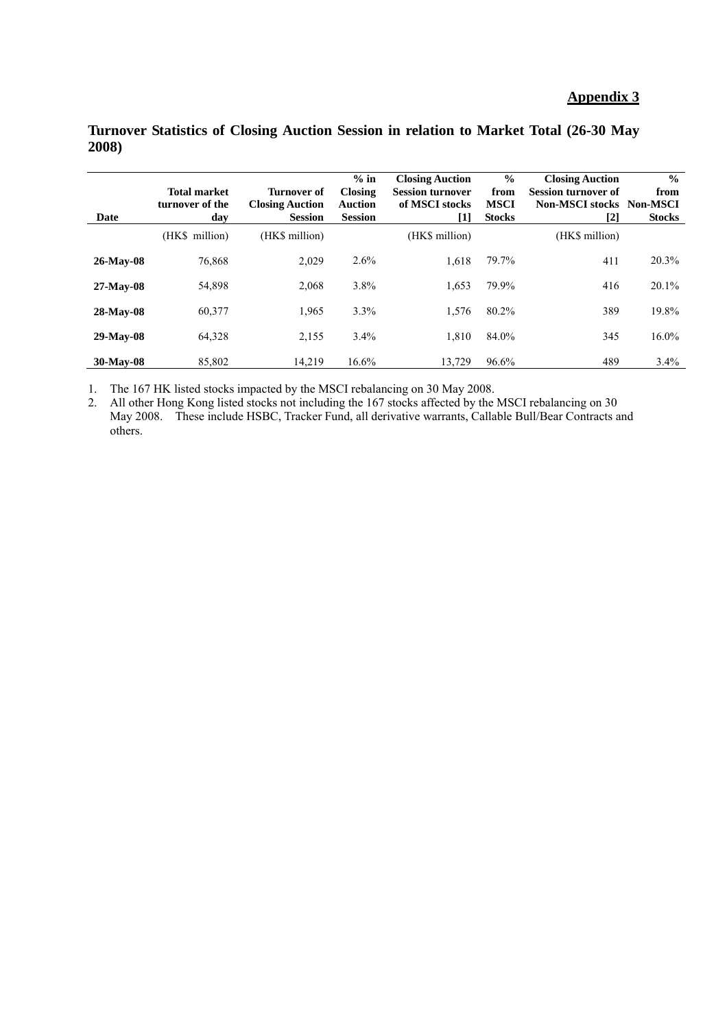#### **Appendix 3**

| Date      | <b>Total market</b><br>turnover of the<br>day | <b>Turnover of</b><br><b>Closing Auction</b><br><b>Session</b> | $%$ in<br><b>Closing</b><br><b>Auction</b><br><b>Session</b> | <b>Closing Auction</b><br><b>Session turnover</b><br>of MSCI stocks<br>[1] | $\frac{0}{0}$<br>from<br><b>MSCI</b><br><b>Stocks</b> | <b>Closing Auction</b><br><b>Session turnover of</b><br><b>Non-MSCI stocks Non-MSCI</b><br>[2] | $\frac{0}{0}$<br>from<br><b>Stocks</b> |
|-----------|-----------------------------------------------|----------------------------------------------------------------|--------------------------------------------------------------|----------------------------------------------------------------------------|-------------------------------------------------------|------------------------------------------------------------------------------------------------|----------------------------------------|
|           | (HK\$ million)                                | (HK\$ million)                                                 |                                                              | (HK\$ million)                                                             |                                                       | (HK\$ million)                                                                                 |                                        |
| 26-May-08 | 76,868                                        | 2,029                                                          | 2.6%                                                         | 1.618                                                                      | 79.7%                                                 | 411                                                                                            | 20.3%                                  |
| 27-May-08 | 54,898                                        | 2,068                                                          | 3.8%                                                         | 1,653                                                                      | 79.9%                                                 | 416                                                                                            | 20.1%                                  |
| 28-May-08 | 60,377                                        | 1,965                                                          | 3.3%                                                         | 1,576                                                                      | 80.2%                                                 | 389                                                                                            | 19.8%                                  |
| 29-May-08 | 64,328                                        | 2,155                                                          | 3.4%                                                         | 1.810                                                                      | 84.0%                                                 | 345                                                                                            | 16.0%                                  |
| 30-May-08 | 85.802                                        | 14.219                                                         | 16.6%                                                        | 13.729                                                                     | 96.6%                                                 | 489                                                                                            | 3.4%                                   |

#### **Turnover Statistics of Closing Auction Session in relation to Market Total (26-30 May 2008)**

1. The 167 HK listed stocks impacted by the MSCI rebalancing on 30 May 2008.

2. All other Hong Kong listed stocks not including the 167 stocks affected by the MSCI rebalancing on 30 May 2008. These include HSBC, Tracker Fund, all derivative warrants, Callable Bull/Bear Contracts and others.